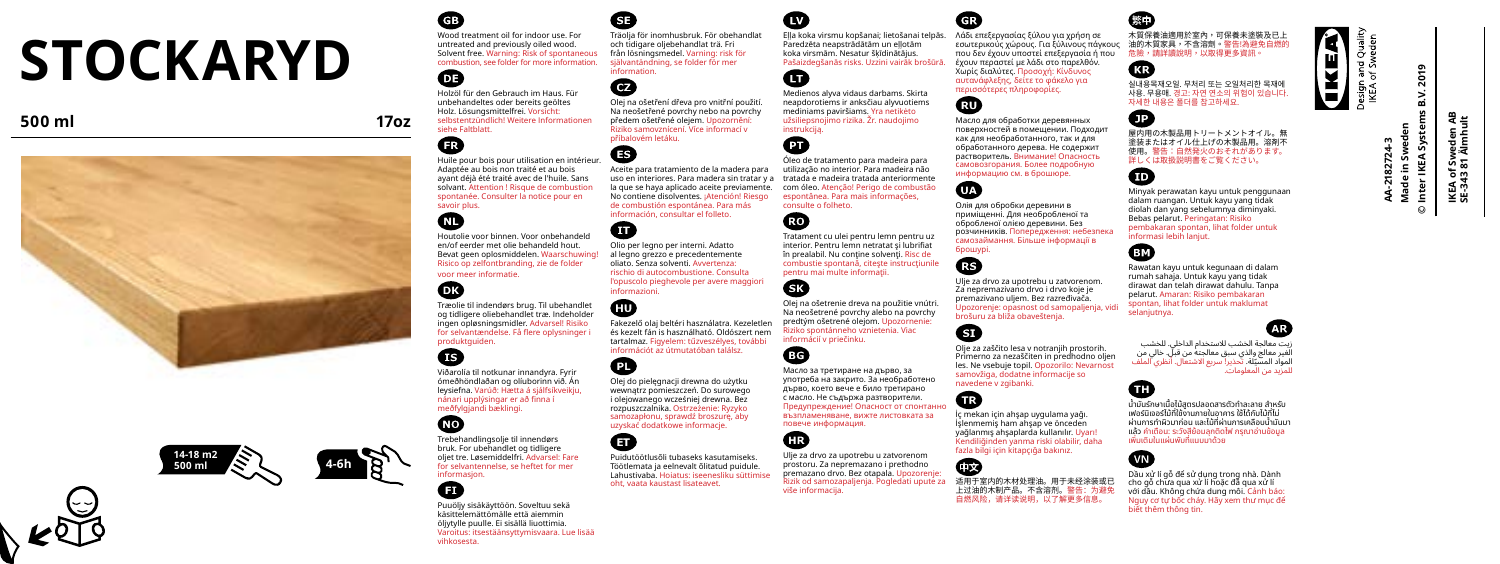# **STOCKARYD**

# **500 ml 17oz**







Wood treatment oil for indoor use. For untreated and previously oiled wood. Solvent free. Warning: Risk of spontaneous combustion, see folder for more information. 63

Holzöl für den Gebrauch im Haus. Für unbehandeltes oder bereits geöltes Holz. Lösungsmittelfrei. Vorsicht: selbstentzündlich! Weitere Informationen siehe Faltblatt.

# œ Huile pour bois pour utilisation en intérieur.

Adaptée au bois non traité et au bois ayant déjà été traité avec de l'huile. Sans solvant. Attention ! Risque de combustion spontanée. Consulter la notice pour en savoir plus.

# $\blacksquare$

Houtolie voor binnen. Voor onbehandeld en/of eerder met olie behandeld hout. Bevat geen oplosmiddelen. Waarschuwing! Risico op zelfontbranding, zie de folder

voor meer informatie.

# m

Træolie til indendørs brug. Til ubehandlet og tidligere oliebehandlet træ. Indeholder ingen opløsningsmidler. Advarsel! Risiko for selvantændelse. Få flere oplysninger i produktguiden.

# A

Œ

Viðarolía til notkunar innandyra. Fyrir ómeðhöndlaðan og olíuborinn við. Án leysiefna. Varúð: Hætta á sjálfsíkveikju, nánari upplýsingar er að finna í meðfylgjandi bæklingi.

**NO** Trebehandlingsolje til innendørs bruk. For ubehandlet og tidligere oljet tre. Løsemiddelfri. Advarsel: Fare for selvantennelse, se heftet for mer informasjon.

Puuöljy sisäkäyttöön. Soveltuu sekä käsittelemättömälle että aiemmin öljytylle puulle. Ei sisällä liuottimia. Varoitus: itsestäänsyttymisvaara. Lue lisää vihkosesta.

Träolja för inomhusbruk. För obehandlat och tidigare oljebehandlat trä. Fri från lösningsmedel. Varning: risk för självantändning, se folder för mer information.

# $\bm{a}$

Olej na ošetření dřeva pro vnitřní použití. Na neošetřené povrchy nebo na povrchy předem ošetřené olejem. Upozornění: Riziko samovznícení. Více informací v příbalovém letáku.

⊕ Aceite para tratamiento de la madera para

uso en interiores. Para madera sin tratar y a tratada e madeira tratada anteriormente la que se haya aplicado aceite previamente. No contiene disolventes. ¡Atención! Riesgo de combustión espontánea. Para más información, consultar el folleto.

### Olio per legno per interni. Adatto al legno grezzo e precedentemente oliato. Senza solventi. Avvertenza: rischio di autocombustione. Consulta l'opuscolo pieghevole per avere maggiori informazioni.

ŒП

Œ

Fakezelő olaj beltéri használatra. Kezeletlen és kezelt fán is használható. Oldószert nem tartalmaz. Figyelem: tűzveszélyes, további információt az útmutatóban találsz. ŒТ Olej do pielęgnacji drewna do użytku

wewnątrz pomieszczeń. Do surowego i olejowanego wcześniej drewna. Bez rozpuszczalnika. Ostrzeżenie: Ryzyko samozapłonu, sprawdź broszurę, aby uzyskać dodatkowe informacje. A

> Puidutöötlusõli tubaseks kasutamiseks. Töötlemata ja eelnevalt õlitatud puidule. Lahustivaba. Hoiatus: iseenesliku süttimise oht, vaata kaustast lisateavet.

Eļļa koka virsmu kopšanai; lietošanai telpās. Λάδι επεξεργασίας ξύλου για χρήση σε Paredzēta neapstrādātām un eļļotām koka virsmām. Nesatur šķīdinātājus. Pašaizdegšanās risks. Uzzini vairāk brošūrā.



Medienos alyva vidaus darbams. Skirta neapdorotiems ir anksčiau alyvuotiems mediniams paviršiams. Yra netikėto užsiliepsnojimo rizika. Žr. naudojimo instrukciją.



Óleo de tratamento para madeira para utilização no interior. Para madeira não com óleo. Atenção! Perigo de combustão espontânea. Para mais informações, consulte o folheto.

ŒΟ Tratament cu ulei pentru lemn pentru uz interior. Pentru lemn netratat şi lubrifiat în prealabil. Nu contine solvenți. Risc de combustie spontană, citește instrucțiunile pentru mai multe informaţii.

Olej na ošetrenie dreva na použitie vnútri.

Na neošetrené povrchy alebo na povrchy predtým ošetrené olejom. Upozornenie: Riziko spontánneho vznietenia. Viac informácií v priečinku.



নের

Масло за третиране на дърво, за употреба на закрито. За необработено дърво, което вече е било третирано с масло. Не съдържа разтворители. Предупреждение! Опасност от спонтанно възпламеняване, вижте листовката за



повече информация.

Ulje za drvo za upotrebu u zatvorenom prostoru. Za nepremazano i prethodno premazano drvo. Bez otapala. Upozorenje: Rizik od samozapaljenja. Pogledati upute za više informacija.

εσωτερικούς χώρους. Για ξύλινους πάγκους 油的木質家具,不含溶劑。警告!為避免自燃的 που δεν έχουν υποστεί επεξεργασία ή που έχουν περαστεί με λάδι στο παρελθόν. Χωρίς διαλύτες. Προσοχή: Κίνδυνος

αυτανάφλεξης, δείτε το φάκελο για περισσότερες πληροφορίες.

Масло для обработки деревянных поверхностей в помещении. Подходит как для необработанного, так и для обработанного дерева. Не содержит растворитель. Внимание! Опасность самовозгорания. Более подробную информацию см. в брошюре.

 $\mathbf{m}$ Олія для обробки деревини в приміщенні. Для необробленої та обробленої олією деревини. Без

розчинників. Попередження: небезпека самозаймання. Більше інформації в брошурі.

Ulje za drvo za upotrebu u zatvorenom. Za nepremazivano drvo i drvo koje je premazivano uljem. Bez razređivača. Upozorenje: opasnost od samopaljenja, vidi brošuru za bliža obaveštenja.

# Θ

M

GB

Œ

෬

Olje za zaščito lesa v notranjih prostorih. Primerno za nezaščiten in predhodno oljen les. Ne vsebuje topil. Opozorilo: Nevarnost samovžiga, dodatne informacije so navedene v zgibanki.

İç mekan için ahşap uygulama yağı. İşlenmemiş ham ahşap ve önceden yağlanmış ahşaplarda kullanılır. Uyarı! Kendiliğinden yanma riski olabilir, daha

fazla bilgi için kitapçığa bakınız.

适用于室内的木材处理油。用于未经涂装或已 上过油的木制产品。不含溶剂。警告:为避免 自燃风险,请详读说明,以了解更多信息。

木質保養油適用於室內,可保養未塗裝及已上 危險,請詳讀說明,以取得更多資訊。

Œ 실내용목재오일. 무처리 또는 오일처리한 목재에 사용. 무용매. 경고: 자연 연소의 위험이 있습니다. 자세한 내용은 폴더를 참고하세요.

Ω 屋内用の木製品用トリートメントオイル。無<br>塗装またはオイル什トげの木製品用。溶剤不 使用、警告・白然登少のおそれがあります。 使用。警告:自然発火のおそれがあります。 詳しくは取扱説明書をご覧ください。 m

Minyak perawatan kayu untuk penggunaan dalam ruangan. Untuk kayu yang tidak diolah dan yang sebelumnya diminyaki. Bebas pelarut. Peringatan: Risiko pembakaran spontan, lihat folder untuk informasi lebih lanjut.

**EM** Rawatan kayu untuk kegunaan di dalam rumah sahaja. Untuk kayu yang tidak dirawat dan telah dirawat dahulu. Tanpa pelarut. Amaran: Risiko pembakaran spontan, lihat folder untuk maklumat

زيت معالجة الخشب لالستخدام الداخلي. للخشب الغير معالج والذي سبق معالجته من قبل. خالي من المواد المسيّلة. تحذير! سريع الاشتعال. أنظري الملف<br>للمزيد من المعلومات.

# Œ

selanjutnya.

น้ำมันรักษาเนื้อไม้สูตรปลอดสารตัวทำละลาย สำหรับ ้ เฟอร์นิเจอร์ไม้ที่ใช้งานภายในอาคาร ใช้ได้กับไม้ที่ไม่ ้ผ่านการทำผิวมาก่อน และไม้ที่ผ่านการเคลือบน้ำมันมา ู้แล้ว คำเตือน: ระวังสีย้อมลุกติดไฟ กรุณาอ่านข้อมูล เพิ่มเติมในแผ่นพับที่แนบมาด้วย



Dầu xử lí gỗ để sử dụng trong nhà. Dành cho gỗ chưa qua xử lí hoặc đã qua xử lí với dầu. Không chứa dung môi. Cảnh báo: Nguy cơ tự bốc cháy. Hãy xem thư mục để biết thêm thông tin.



**© Inter IKEA Systems B.V. 2019 IKEA of Sweden AB SE-343 81 Älmhult Made in Sweden** ్ల ঃৰ ¥. <u> ក្នុ</u> ⊻  $43.3$ 



 $\mathbf{G}% _{M_{1},M_{2}}^{\prime }\equiv\mathbf{G}_{M_{1},M_{2}}^{\prime }\equiv\mathbf{G}_{M_{1},M_{2}}^{\prime }\equiv\mathbf{G}_{M_{1},M_{2}}^{\prime }\equiv\mathbf{G}_{M_{1},M_{2}}^{\prime }\equiv\mathbf{G}_{M_{1},M_{2}}^{\prime }\equiv\mathbf{G}_{M_{1},M_{2}}^{\prime }\equiv\mathbf{G}_{M_{1},M_{2}}^{\prime }\equiv\mathbf{G}_{M_{1},M_{2}}^{\prime }\equiv\mathbf{G}_{M_{1},M_{2}}^{\prime }\equiv\mathbf{G}_{M_{1},M_{2}}^{\prime }\equiv\mathbf{G}_{M_{1$ esign and Quality<br>IKEA of Sweden

¥

**AA-2182724-3**  $\circ$ 

Ë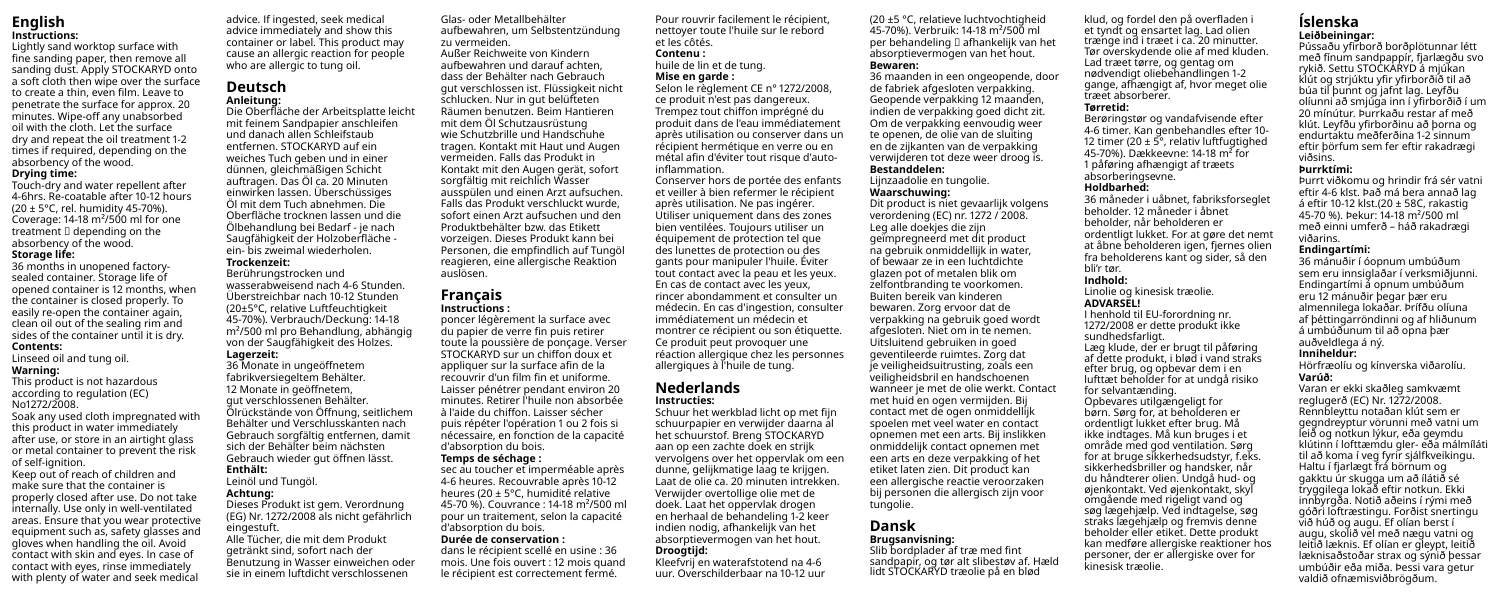### **English Instructions:**

Lightly sand worktop surface with fine sanding paper, then remove all sanding dust. Apply STOCKARYD onto a soft cloth then wipe over the surface to create a thin, even film. Leave to penetrate the surface for approx. 20 minutes. Wipe-off any unabsorbed oil with the cloth. Let the surface dry and repeat the oil treatment 1-2 times if required, depending on the absorbency of the wood.

### **Drying time:**

Touch-dry and water repellent after 4-6hrs. Re-coatable after 10-12 hours (20 ± 5°C, rel. humidity 45-70%). Coverage: 14-18 m²/500 ml for one treatment  $\square$  depending on the absorbency of the wood. **Storage life:**

### 36 months in unopened factorysealed container. Storage life of opened container is 12 months, when the container is closed properly. To easily re-open the container again, clean oil out of the sealing rim and sides of the container until it is dry. **Contents:**

Linseed oil and tung oil.

### **Warning:**

This product is not hazardous according to regulation (EC) No1272/2008. Soak any used cloth impregnated with this product in water immediately

after use, or store in an airtight glass or metal container to prevent the risk of self-ignition.

Keep out of reach of children and make sure that the container is properly closed after use. Do not take internally. Use only in well-ventilated areas. Ensure that you wear protective equipment such as, safety glasses and gloves when handling the oil. Avoid contact with skin and eyes. In case of contact with eyes, rinse immediately with plenty of water and seek medical advice. If ingested, seek medical advice immediately and show this container or label. This product may cause an allergic reaction for people who are allergic to tung oil.

### **Deutsch Anleitung:**

Die Oberfläche der Arbeitsplatte leicht mit feinem Sandpapier anschleifen und danach allen Schleifstaub entfernen. STOCKARYD auf ein weiches Tuch geben und in einer dünnen, gleichmäßigen Schicht auftragen. Das Öl ca. 20 Minuten einwirken lassen. Überschüssiges Öl mit dem Tuch abnehmen. Die Oberfläche trocknen lassen und die Ölbehandlung bei Bedarf - je nach Saugfähigkeit der Holzoberfläche ein- bis zweimal wiederholen. **Trockenzeit:**

Berührungstrocken und wasserabweisend nach 4-6 Stunden. Überstreichbar nach 10-12 Stunden (20±5°C, relative Luftfeuchtigkeit 45-70%). Verbrauch/Deckung: 14-18 m²/500 ml pro Behandlung, abhängig

### von der Saugfähigkeit des Holzes. **Lagerzeit:**

36 Monate in ungeöffnetem fabrikversiegeltem Behälter. 12 Monate in geöffnetem, gut verschlossenen Behälter. Ölrückstände von Öffnung, seitlichem Behälter und Verschlusskanten nach Gebrauch sorgfältig entfernen, damit sich der Behälter beim nächsten Gebrauch wieder gut öffnen lässt. **Enthält:** Leinöl und Tungöl.

### **Achtung:**

Dieses Produkt ist gem. Verordnung (EG) Nr. 1272/2008 als nicht gefährlich eingestuft.

Alle Tücher, die mit dem Produkt getränkt sind, sofort nach der Benutzung in Wasser einweichen oder sie in einem luftdicht verschlossenen

Glas- oder Metallbehälter aufbewahren, um Selbstentzündung zu vermeiden. Außer Reichweite von Kindern aufbewahren und darauf achten, dass der Behälter nach Gebrauch gut verschlossen ist. Flüssigkeit nicht schlucken. Nur in gut belüfteten Räumen benutzen. Beim Hantieren mit dem Öl Schutzausrüstung wie Schutzbrille und Handschuhe tragen. Kontakt mit Haut und Augen vermeiden. Falls das Produkt in Kontakt mit den Augen gerät, sofort sorgfältig mit reichlich Wasser ausspülen und einen Arzt aufsuchen. Falls das Produkt verschluckt wurde, sofort einen Arzt aufsuchen und den Produktbehälter bzw. das Etikett vorzeigen. Dieses Produkt kann bei

### **Français Instructions :**

auslösen.

poncer légèrement la surface avec du papier de verre fin puis retirer toute la poussière de ponçage. Verser STOCKARYD sur un chiffon doux et appliquer sur la surface afin de la recouvrir d'un film fin et uniforme. Laisser pénétrer pendant environ 20 minutes. Retirer l'huile non absorbée à l'aide du chiffon. Laisser sécher puis répéter l'opération 1 ou 2 fois si nécessaire, en fonction de la capacité d'absorption du bois. **Temps de séchage :**

Personen, die empfindlich auf Tungöl reagieren, eine allergische Reaktion

sec au toucher et imperméable après 4-6 heures. Recouvrable après 10-12 heures (20 ± 5°C, humidité relative 45-70 %). Couvrance : 14-18 m²/500 ml pour un traitement, selon la capacité d'absorption du bois. **Durée de conservation :** dans le récipient scellé en usine : 36

mois. Une fois ouvert : 12 mois quand le récipient est correctement fermé.

Pour rouvrir facilement le récipient, nettoyer toute l'huile sur le rebord et les côtés.

### **Contenu :** huile de lin et de tung. **Mise en garde :**

Selon le règlement CE n° 1272/2008, ce produit n'est pas dangereux. Trempez tout chiffon imprégné du produit dans de l'eau immédiatement après utilisation ou conserver dans un récipient hermétique en verre ou en métal afin d'éviter tout risque d'autoinflammation.

Conserver hors de portée des enfants et veiller à bien refermer le récipient après utilisation. Ne pas ingérer. Utiliser uniquement dans des zones bien ventilées. Toujours utiliser un équipement de protection tel que des lunettes de protection ou des gants pour manipuler l'huile. Éviter tout contact avec la peau et les yeux. En cas de contact avec les yeux, rincer abondamment et consulter un médecin. En cas d'ingestion, consulter immédiatement un médecin et montrer ce récipient ou son étiquette. Ce produit peut provoquer une réaction allergique chez les personnes allergiques à l'huile de tung.

### **Nederlands Instructies:**

Schuur het werkblad licht op met fijn schuurpapier en verwijder daarna al het schuurstof. Breng STOCKARYD aan op een zachte doek en strijk vervolgens over het oppervlak om een dunne, gelijkmatige laag te krijgen. Laat de olie ca. 20 minuten intrekken. Verwijder overtollige olie met de doek. Laat het oppervlak drogen en herhaal de behandeling 1-2 keer indien nodig, afhankelijk van het absorptievermogen van het hout. **Droogtijd:**

Kleefvrij en waterafstotend na 4-6 uur. Overschilderbaar na 10-12 uur (20 ±5 °C, relatieve luchtvochtigheid 45-70%). Verbruik: 14-18 m²/500 ml per behandeling ‒ afhankelijk van het absorptievermogen van het hout. **Bewaren:**

### 36 maanden in een ongeopende, door de fabriek afgesloten verpakking. Geopende verpakking 12 maanden, indien de verpakking goed dicht zit. Om de verpakking eenvoudig weer te openen, de olie van de sluiting en de zijkanten van de verpakking verwijderen tot deze weer droog is. **Bestanddelen:**

Lijnzaadolie en tungolie.

### **Waarschuwing:**

Dit product is niet gevaarlijk volgens verordening (EC) nr. 1272 / 2008. Leg alle doekjes die zijn geïmpregneerd met dit product na gebruik onmiddellijk in water, of bewaar ze in een luchtdichte glazen pot of metalen blik om zelfontbranding te voorkomen. Buiten bereik van kinderen bewaren. Zorg ervoor dat de verpakking na gebruik goed wordt afgesloten. Niet om in te nemen. Uitsluitend gebruiken in goed geventileerde ruimtes. Zorg dat je veiligheidsuitrusting, zoals een veiligheidsbril en handschoenen wanneer je met de olie werkt. Contact met huid en ogen vermijden. Bij contact met de ogen onmiddellijk spoelen met veel water en contact opnemen met een arts. Bij inslikken onmiddelijk contact opnemen met een arts en deze verpakking of het etiket laten zien. Dit product kan een allergische reactie veroorzaken bij personen die allergisch zijn voor tungolie.

### **Dansk**

**Brugsanvisning:** Slib bordplader af træ med fint sandpapir, og tør alt slibestøv af. Hæld lidt STOCKARYD træolie på en blød

### klud, og fordel den på overfladen i et tyndt og ensartet lag. Lad olien trænge ind i træet i ca. 20 minutter. Tør overskydende olie af med kluden. Lad træet tørre, og gentag om nødvendigt oliebehandlingen 1-2 gange, afhængigt af, hvor meget olie træet absorberer.

### **Tørretid:**

Berøringstør og vandafvisende efter 4-6 timer. Kan genbehandles efter 10- 12 timer (20 ± 5°, relativ luftfugtighed 45-70%). Dækkeevne: 14-18 m² for 1 påføring afhængigt af træets absorberingsevne. **Holdbarhed:**

36 måneder i uåbnet, fabriksforseglet beholder. 12 måneder i åbnet beholder, når beholderen er ordentligt lukket. For at gøre det nemt at åbne beholderen igen, fjernes olien fra beholderens kant og sider, så den bli'r tør.

### **Indhold:**

Linolie og kinesisk træolie. **ADVARSEL!** I henhold til EU-forordning nr.

1272/2008 er dette produkt ikke sundhedsfarligt. Læg klude, der er brugt til påføring af dette produkt, i blød i vand straks efter brug, og opbevar dem i en lufttæt beholder for at undgå risiko for selvantænding. Opbevares utilgængeligt for børn. Sørg for, at beholderen er ordentligt lukket efter brug. Må ikke indtages. Må kun bruges i et område med god ventilation. Sørg for at bruge sikkerhedsudstyr, f.eks. sikkerhedsbriller og handsker, når du håndterer olien. Undgå hud- og øjenkontakt. Ved øjenkontakt, skyl omgående med rigeligt vand og søg lægehjælp. Ved indtagelse, søg straks lægehjælp og fremvis denne beholder eller etiket. Dette produkt kan medføre allergiske reaktioner hos personer, der er allergiske over for kinesisk træolie.

### **Íslenska Leiðbeiningar:**

Pússaðu yfirborð borðplötunnar létt með fínum sandpappír, fjarlægðu svo rykið. Settu STOCKARYD á mjúkan klút og strjúktu yfir yfirborðið til að búa til þunnt og jafnt lag. Leyfðu olíunni að smjúga inn í yfirborðið í um 20 mínútur. Þurrkaðu restar af með klút. Leyfðu yfirborðinu að þorna og endurtaktu meðferðina 1-2 sinnum eftir þörfum sem fer eftir rakadrægi viðsins.

### **Þurrktími:**

Þurrt viðkomu og hrindir frá sér vatni eftir 4-6 klst. Það má bera annað lag á eftir 10-12 klst.(20 ± 58C, rakastig 45-70 %). Þekur: 14-18 m²/500 ml með einni umferð – háð rakadrægi viðarins.

### **Endingartími:**

36 mánuðir í óopnum umbúðum sem eru innsiglaðar í verksmiðjunni. Endingartími á opnum umbúðum eru 12 mánuðir þegar þær eru almennilega lokaðar. Þrífðu olíuna af þéttingarröndinni og af hliðunum á umbúðunum til að opna þær auðveldlega á ný.

### **Inniheldur:**

Hörfræolíu og kínverska viðarolíu. **Varúð:**

Varan er ekki skaðleg samkvæmt reglugerð (EC) Nr. 1272/2008. Rennbleyttu notaðan klút sem er gegndreyptur vörunni með vatni um leið og notkun lýkur, eða geymdu klútinn í lofttæmdu gler- eða málmíláti til að koma í veg fyrir sjálfkveikingu. Haltu í fjarlægt frá börnum og gakktu úr skugga um að ílátið sé tryggilega lokað eftir notkun. Ekki innbyrgða. Notið aðeins í rými með góðri loftræstingu. Forðist snertingu við húð og augu. Ef olían berst í augu, skolið vel með nægu vatni og leitið læknis. Ef olían er gleypt, leitið læknisaðstoðar strax og sýnið þessar umbúðir eða miða. Þessi vara getur valdið ofnæmisviðbrögðum.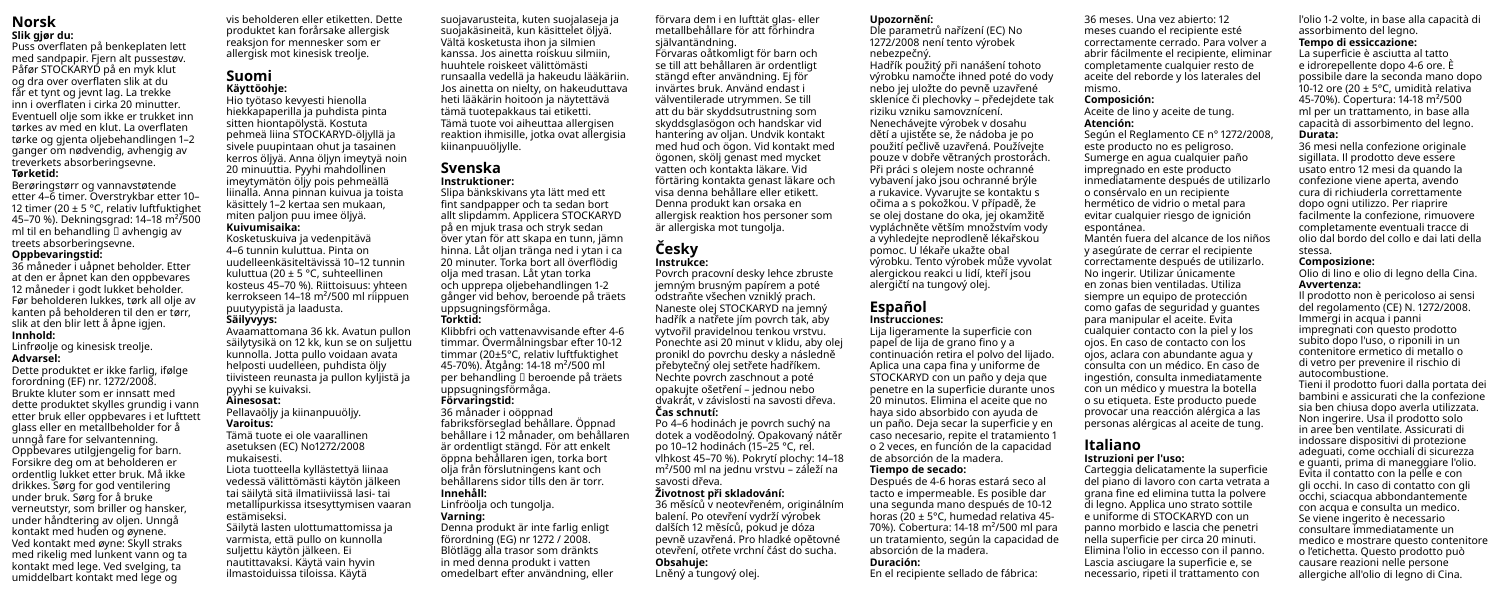### **Norsk Slik gjør du:**

Puss overflaten på benkeplaten lett med sandpapir. Fjern alt pussestøv. Påfør STOCKARYD på en myk klut og dra over overflaten slik at du får et tynt og jevnt lag. La trekke inn i overflaten i cirka 20 minutter. Eventuell olje som ikke er trukket inn tørkes av med en klut. La overflaten tørke og gjenta oljebehandlingen 1–2 ganger om nødvendig, avhengig av treverkets absorberingsevne. **Tørketid:**

Berøringstørr og vannavstøtende etter 4–6 timer. Overstrykbar etter 10– 12 timer (20 + 5 °C, relativ luftfuktighet 45–70 %). Dekningsgrad: 14–18 m²/500 ml til en behandling  $\square$  avhengig av treets absorberingsevne.

### **Oppbevaringstid:**

36 måneder i uåpnet beholder. Etter at den er åpnet kan den oppbevares 12 måneder i godt lukket beholder. Før beholderen lukkes, tørk all olje av kanten på beholderen til den er tørr, slik at den blir lett å åpne igjen. **Innhold:**

Linfrøolje og kinesisk treolje. **Advarsel:**

Dette produktet er ikke farlig, ifølge forordning (EF) nr. 1272/2008. Brukte kluter som er innsatt med dette produktet skylles grundig i vann etter bruk eller oppbevares i et lufttett glass eller en metallbeholder for å unngå fare for selvantenning. Oppbevares utilgiengelig for barn. Forsikre deg om at beholderen er ordentlig lukket etter bruk. Må ikke drikkes. Sørg for god ventilering under bruk. Sørg for å bruke verneutstyr, som briller og hansker, under håndtering av oljen. Unngå kontakt med huden og øynene. Ved kontakt med øyne: Skyll straks med rikelig med lunkent vann og ta kontakt med lege. Ved svelging, ta umiddelbart kontakt med lege og

vis beholderen eller etiketten. Dette produktet kan forårsake allergisk reaksjon for mennesker som er allergisk mot kinesisk treolje.

### **Suomi Käyttöohje:**

Hio työtaso kevyesti hienolla hiekkapaperilla ja puhdista pinta sitten hiontapölystä. Kostuta pehmeä liina STOCKARYD-öljyllä ja sivele puupintaan ohut ja tasainen kerros öljyä. Anna öljyn imeytyä noin 20 minuuttia. Pyyhi mahdollinen imeytymätön öljy pois pehmeällä liinalla. Anna pinnan kuivua ja toista käsittely 1–2 kertaa sen mukaan, miten paljon puu imee öljyä. **Kuivumisaika:** Kosketuskuiva ja vedenpitävä

4–6 tunnin kuluttua. Pinta on uudelleenkäsiteltävissä 10–12 tunnin kuluttua (20 ± 5 °C, suhteellinen kosteus 45–70 %). Riittoisuus: yhteen kerrokseen 14–18 m²/500 ml riippuen puutyypistä ja laadusta. **Säilyvyys:**

### Avaamattomana 36 kk. Avatun pullon

säilytysikä on 12 kk, kun se on suljettu kunnolla. Jotta pullo voidaan avata helposti uudelleen, puhdista öljy tiivisteen reunasta ja pullon kyljistä ja pyyhi se kuivaksi.

### **Ainesosat:** Pellavaöljy ja kiinanpuuöljy.

**Varoitus:**

Tämä tuote ei ole vaarallinen asetuksen (EC) No1272/2008 mukaisesti.

Liota tuotteella kyllästettyä liinaa vedessä välittömästi käytön jälkeen tai säilytä sitä ilmatiiviissä lasi- tai metallipurkissa itsesyttymisen vaaran estämiseksi.

Säilytä lasten ulottumattomissa ja varmista, että pullo on kunnolla suljettu käytön jälkeen. Ei nautittavaksi. Käytä vain hyvin ilmastoiduissa tiloissa. Käytä

suojavarusteita, kuten suojalaseja ja suojakäsineitä, kun käsittelet öljyä. Vältä kosketusta ihon ja silmien kanssa. Jos ainetta roiskuu silmiin, huuhtele roiskeet välittömästi runsaalla vedellä ja hakeudu lääkäriin. Jos ainetta on nielty, on hakeuduttava heti lääkärin hoitoon ja näytettävä tämä tuotepakkaus tai etiketti. Tämä tuote voi aiheuttaa allergisen reaktion ihmisille, jotka ovat allergisia kiinanpuuöljylle.

### **Svenska Instruktioner:**

### Slipa bänkskivans yta lätt med ett fint sandpapper och ta sedan bort allt slipdamm. Applicera STOCKARYD på en mjuk trasa och stryk sedan över ytan för att skapa en tunn, jämn hinna. Låt oljan tränga ned i ytan i ca

20 minuter. Torka bort all överflödig olja med trasan. Låt ytan torka och upprepa oljebehandlingen 1-2 gånger vid behov, beroende på träets uppsugningsförmåga. **Torktid:** Klibbfri och vattenavvisande efter 4-6 timmar. Övermålningsbar efter 10-12

timmar (20±5°C, relativ luftfuktighet 45-70%). Åtgång: 14-18 m²/500 ml per behandling [] beroende på träets uppsugningsförmåga. **Förvaringstid:** 36 månader i oöppnad fabriksförseglad behållare. Öppnad behållare i 12 månader, om behållaren är ordentligt stängd. För att enkelt

öppna behållaren igen, torka bort olja från förslutningens kant och behållarens sidor tills den är torr. **Innehåll:**

### Linfröolja och tungolja. **Varning:**

Denna produkt är inte farlig enligt förordning (EG) nr 1272 / 2008. Blötlägg alla trasor som dränkts in med denna produkt i vatten omedelbart efter användning, eller

förvara dem i en lufttät glas- eller metallbehållare för att förhindra självantändning. Förvaras oåtkomligt för barn och se till att behållaren är ordentligt stängd efter användning. Ej för invärtes bruk. Använd endast i välventilerade utrymmen. Se till att du bär skyddsutrustning som skyddsglasögon och handskar vid hantering av oljan. Undvik kontakt med hud och ögon. Vid kontakt med ögonen, skölj genast med mycket vatten och kontakta läkare. Vid förtäring kontakta genast läkare och visa denna behållare eller etikett. Denna produkt kan orsaka en allergisk reaktion hos personer som är allergiska mot tungolja.

### **Česky Instrukce:**

Povrch pracovní desky lehce zbruste jemným brusným papírem a poté odstraňte všechen vzniklý prach. Naneste olej STOCKARYD na jemný hadřík a natřete jím povrch tak, aby vytvořil pravidelnou tenkou vrstvu. Ponechte asi 20 minut v klidu, aby olej pronikl do povrchu desky a následně přebytečný olej setřete hadříkem. Nechte povrch zaschnout a poté opakujte ošetření – jednou nebo dvakrát, v závislosti na savosti dřeva. **Čas schnutí:**

Po 4–6 hodinách je povrch suchý na dotek a voděodolný. Opakovaný nátěr po 10–12 hodinách (15–25 °C, rel. vlhkost 45–70 %). Pokrytí plochy: 14–18 m²/500 ml na jednu vrstvu – záleží na savosti dřeva.

### **Životnost při skladování:**

36 měsíců v neotevřeném, originálním balení. Po otevření vydrží výrobek dalších 12 měsíců, pokud je dóza pevně uzavřená. Pro hladké opětovné otevření, otřete vrchní část do sucha.

### **Obsahuje:**

Lněný a tungový olej.

### **Upozornění:**

Dle parametrů nařízení (EC) No 1272/2008 není tento výrobek nebezpečný.

Hadřík použitý při nanášení tohoto výrobku namočte ihned poté do vody nebo jej uložte do pevně uzavřené sklenice či plechovky – předejdete tak riziku vzniku samovznícení. Nenechávejte výrobek v dosahu dětí a ujistěte se, že nádoba je po použití pečlivě uzavřená. Používejte pouze v dobře větraných prostorách. Při práci s olejem noste ochranné vybavení jako jsou ochranné brýle a rukavice. Vyvarujte se kontaktu s očima a s pokožkou. V případě, že se olej dostane do oka, jej okamžitě vypláchněte větším množstvím vody a vyhledejte neprodleně lékařskou pomoc. U lékaře ukažte obal výrobku. Tento výrobek může vyvolat alergickou reakci u lidí, kteří jsou alergičtí na tungový olej.

# **Español**

### **Instrucciones:**

Lija ligeramente la superficie con papel de lija de grano fino y a continuación retira el polvo del lijado. Aplica una capa fina y uniforme de STOCKARYD con un paño y deja que penetre en la superficie durante unos 20 minutos. Elimina el aceite que no haya sido absorbido con ayuda de un paño. Deja secar la superficie y en caso necesario, repite el tratamiento 1 o 2 veces, en función de la capacidad de absorción de la madera.

### **Tiempo de secado:**

Después de 4-6 horas estará seco al tacto e impermeable. Es posible dar una segunda mano después de 10-12 horas (20 ± 5°C, humedad relativa 45- 70%). Cobertura: 14-18 m²/500 ml para un tratamiento, según la capacidad de absorción de la madera.

### **Duración:**

En el recipiente sellado de fábrica:

36 meses. Una vez abierto: 12 meses cuando el recipiente esté correctamente cerrado. Para volver a abrir fácilmente el recipiente, eliminar completamente cualquier resto de aceite del reborde y los laterales del mismo.

### **Composición:** Aceite de lino y aceite de tung.

### **Atención:**

Según el Reglamento CE n° 1272/2008, este producto no es peligroso. Sumerge en agua cualquier paño impregnado en este producto inmediatamente después de utilizarlo o consérvalo en un recipiente hermético de vidrio o metal para evitar cualquier riesgo de ignición espontánea. Mantén fuera del alcance de los niños

y asegúrate de cerrar el recipiente correctamente después de utilizarlo. No ingerir. Utilizar únicamente en zonas bien ventiladas. Utiliza siempre un equipo de protección como gafas de seguridad y guantes para manipular el aceite. Evita cualquier contacto con la piel y los ojos. En caso de contacto con los ojos, aclara con abundante agua y consulta con un médico. En caso de ingestión, consulta inmediatamente con un médico y muestra la botella o su etiqueta. Este producto puede provocar una reacción alérgica a las personas alérgicas al aceite de tung.

### **Italiano**

## **Istruzioni per l'uso:**

Carteggia delicatamente la superficie del piano di lavoro con carta vetrata a grana fine ed elimina tutta la polvere di legno. Applica uno strato sottile e uniforme di STOCKARYD con un panno morbido e lascia che penetri nella superficie per circa 20 minuti. Elimina l'olio in eccesso con il panno. Lascia asciugare la superficie e, se necessario, ripeti il trattamento con

l'olio 1-2 volte, in base alla capacità di assorbimento del legno. **Tempo di essiccazione:**

La superficie è asciutta al tatto e idrorepellente dopo 4-6 ore. È possibile dare la seconda mano dopo 10-12 ore (20 ± 5°C, umidità relativa 45-70%). Copertura: 14-18 m²/500 ml per un trattamento, in base alla capacità di assorbimento del legno.

### **Durata:**

36 mesi nella confezione originale sigillata. Il prodotto deve essere usato entro 12 mesi da quando la confezione viene aperta, avendo cura di richiuderla correttamente dopo ogni utilizzo. Per riaprire facilmente la confezione, rimuovere completamente eventuali tracce di olio dal bordo del collo e dai lati della stessa.

### **Composizione:**

Olio di lino e olio di legno della Cina. **Avvertenza:**

Il prodotto non è pericoloso ai sensi del regolamento (CE) N. 1272/2008. Immergi in acqua i panni impregnati con questo prodotto subito dopo l'uso, o riponili in un contenitore ermetico di metallo o di vetro per prevenire il rischio di autocombustione.

Tieni il prodotto fuori dalla portata dei bambini e assicurati che la confezione sia ben chiusa dopo averla utilizzata. Non ingerire. Usa il prodotto solo in aree ben ventilate. Assicurati di indossare dispositivi di protezione adeguati, come occhiali di sicurezza e guanti, prima di maneggiare l'olio. Evita il contatto con la pelle e con gli occhi. In caso di contatto con gli occhi, sciacqua abbondantemente con acqua e consulta un medico. Se viene ingerito è necessario consultare immediatamente un medico e mostrare questo contenitore o l'etichetta. Questo prodotto può causare reazioni nelle persone allergiche all'olio di legno di Cina.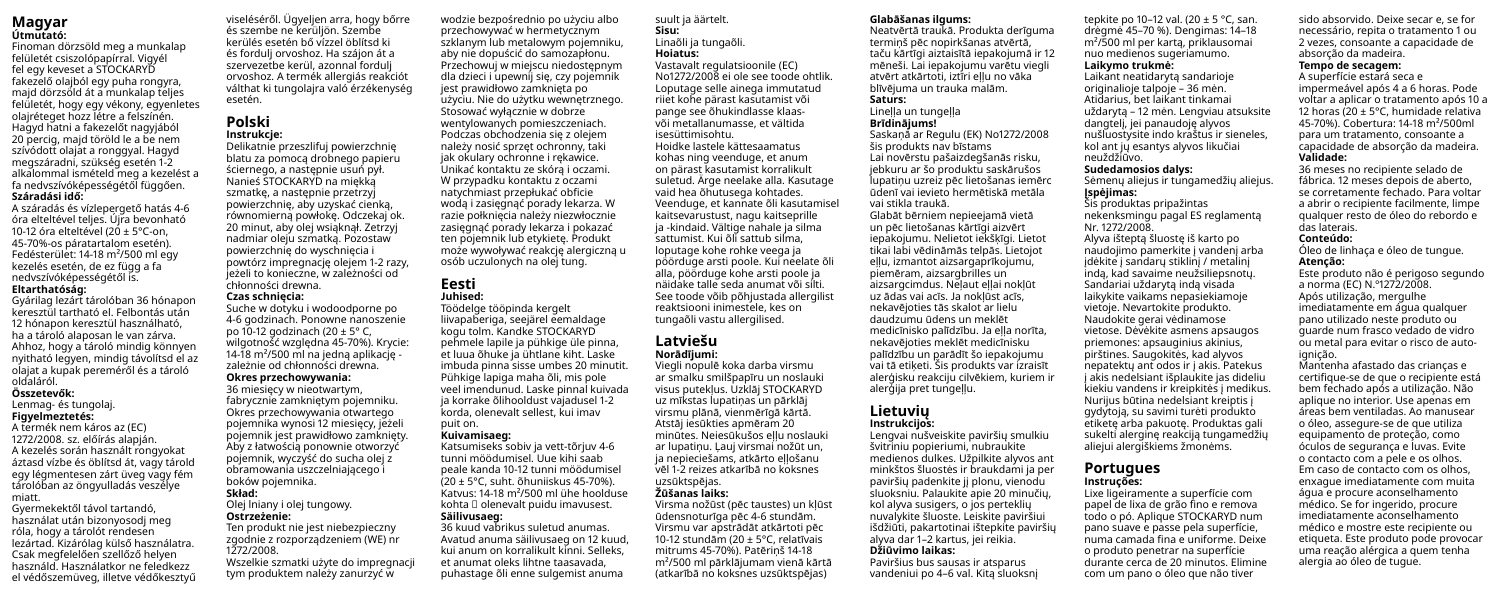### **Magyar Útmutató:**

Finoman dörzsöld meg a munkalap felületét csiszolópapírral. Vigyél fel egy keveset a STOCKARYD fakezelő olajból egy puha rongyra, majd dörzsöld át a munkalap teljes felületét, hogy egy vékony, egyenletes olajréteget hozz létre a felszínén. Hagyd hatni a fakezelőt nagyjából 20 percig, majd töröld le a be nem szívódott olajat a ronggyal. Hagyd megszáradni, szükség esetén 1-2 alkalommal ismételd meg a kezelést a fa nedvszívóképességétől függően. **Száradási idő:**

A száradás és vízlepergető hatás 4-6 óra elteltével teljes. Újra bevonható 10-12 óra elteltével (20 ± 5°C-on, 45-70%-os páratartalom esetén). Fedésterület: 14-18 m²/500 ml egy kezelés esetén, de ez függ a fa nedvszívóképességétől is. **Eltarthatóság:**

Gyárilag lezárt tárolóban 36 hónapon keresztül tartható el. Felbontás után 12 hónapon keresztül használható, ha a tároló alaposan le van zárva. Ahhoz, hogy a tároló mindig könnyen nyitható legyen, mindig távolítsd el az olajat a kupak pereméről és a tároló oldaláról.

### **Összetevők:**

### Lenmag- és tungolaj. **Figyelmeztetés:**

A termék nem káros az (EC) 1272/2008. sz. előírás alapján. A kezelés során használt rongyokat áztasd vízbe és öblítsd át, vagy tárold egy légmentesen zárt üveg vagy fém tárolóban az öngyulladás veszélye miatt.

Gyermekektől távol tartandó, használat után bizonyosodj meg róla, hogy a tárolót rendesen lezártad. Kizárólag külső használatra. Csak megfelelően szellőző helyen használd. Használatkor ne feledkezz el védőszemüveg, illetve védőkesztyű viseléséről. Ügyeljen arra, hogy bőrre és szembe ne kerüljön. Szembe kerülés esetén bő vízzel öblítsd ki és fordulj orvoshoz. Ha szájon át a szervezetbe kerül, azonnal fordulj orvoshoz. A termék allergiás reakciót válthat ki tungolajra való érzékenység esetén.

### **Polski Instrukcje:**

Delikatnie przeszlifuj powierzchnię blatu za pomocą drobnego papieru ściernego, a następnie usuń pył. Nanieś STOCKARYD na miękką szmatkę, a następnie przetrzyj powierzchnię, aby uzyskać cienką, równomierną powłokę. Odczekaj ok. 20 minut, aby olej wsiąknął. Zetrzyj nadmiar oleju szmatką. Pozostaw powierzchnię do wyschnięcia i powtórz impregnację olejem 1-2 razy, jeżeli to konieczne, w zależności od chłonności drewna. **Czas schnięcia:**

Suche w dotyku i wodoodporne po 4-6 godzinach. Ponowne nanoszenie po 10-12 godzinach (20 ± 5° C, wilgotność względna 45-70%). Krycie: 14-18 m²/500 ml na jedną aplikację zależnie od chłonności drewna. **Okres przechowywania:** 36 miesięcy w nieotwartym,

fabrycznie zamkniętym pojemniku. Okres przechowywania otwartego pojemnika wynosi 12 miesięcy, jeżeli pojemnik jest prawidłowo zamknięty. Aby z łatwością ponownie otworzyć pojemnik, wyczyść do sucha olej z obramowania uszczelniającego i boków pojemnika.

### **Skład:** Olej lniany i olej tungowy. **Ostrzeżenie:**

Ten produkt nie jest niebezpieczny zgodnie z rozporządzeniem (WE) nr 1272/2008 Wszelkie szmatki użyte do impregnacji

tym produktem należy zanurzyć w

przechowywać w hermetycznym szklanym lub metalowym pojemniku, aby nie dopuścić do samozapłonu. Przechowuj w miejscu niedostępnym dla dzieci i upewnij się, czy pojemnik jest prawidłowo zamknięta po użyciu. Nie do użytku wewnętrznego. Stosować wyłącznie w dobrze wentylowanych pomieszczeniach. Podczas obchodzenia się z olejem należy nosić sprzęt ochronny, taki jak okulary ochronne i rękawice. Unikać kontaktu ze skórą i oczami. W przypadku kontaktu z oczami natychmiast przepłukać obficie wodą i zasięgnąć porady lekarza. W razie połknięcia należy niezwłocznie zasięgnąć porady lekarza i pokazać ten pojemnik lub etykietę. Produkt może wywoływać reakcję alergiczną u

wodzie bezpośrednio po użyciu albo

### **Eesti Juhised:**

Töödelge tööpinda kergelt liivapaberiga, seejärel eemaldage kogu tolm. Kandke STOCKARYD pehmele lapile ja pühkige üle pinna, et luua õhuke ja ühtlane kiht. Laske imbuda pinna sisse umbes 20 minutit. Pühkige lapiga maha õli, mis pole veel imendunud. Laske pinnal kuivada ja korrake õlihooldust vajadusel 1-2 korda, olenevalt sellest, kui imav

osób uczulonych na olej tung.

### puit on. **Kuivamisaeg:**

Katsumiseks sobiv ja vett-tõrjuv 4-6 tunni möödumisel. Uue kihi saab peale kanda 10-12 tunni möödumisel (20 ± 5°C, suht. õhuniiskus 45-70%). Katvus: 14-18 m²/500 ml ühe hoolduse kohta  $\square$  olenevalt puidu imavusest. **Säilivusaeg:**

36 kuud vabrikus suletud anumas. Avatud anuma säilivusaeg on 12 kuud, kui anum on korralikult kinni. Selleks, et anumat oleks lihtne taasavada, puhastage õli enne sulgemist anuma

suult ja äärtelt. **Sisu:** Linaõli ja tungaõli.

### **Hoiatus:**

Vastavalt regulatsioonile (EC) No1272/2008 ei ole see toode ohtlik. Loputage selle ainega immutatud riiet kohe pärast kasutamist või pange see õhukindlasse klaasvõi metallanumasse, et vältida isesüttimisohtu. Hoidke lastele kättesaamatus kohas ning veenduge, et anum on pärast kasutamist korralikult suletud. Ärge neelake alla. Kasutage vaid hea õhutusega kohtades. Veenduge, et kannate õli kasutamisel kaitsevarustust, nagu kaitseprille ja -kindaid. Vältige nahale ja silma sattumist. Kui õli sattub silma, loputage kohe rohke veega ja pöörduge arsti poole. Kui neelate õli alla, pöörduge kohe arsti poole ja näidake talle seda anumat või silti. See toode võib põhjustada allergilist reaktsiooni inimestele, kes on tungaõli vastu allergilised.

### **Latviešu**

### **Norādījumi:**

Viegli nopulē koka darba virsmu ar smalku smilšpapīru un noslauki visus putekļus. Uzklāj STOCKARYD uz mīkstas lupatiņas un pārklāj virsmu plānā, vienmērīgā kārtā. Atstāj iesūkties apmēram 20 minūtes. Neiesūkušos ellu noslauki ar lupatiņu. Lauj virsmai nožūt un, ja nepieciešams, atkārto ellošanu vēl 1-2 reizes atkarībā no koksnes uzsūktspējas.

### **Žūšanas laiks:**

Virsma nožūst (pēc taustes) un kļūst ūdensnoturīga pēc 4-6 stundām. Virsmu var apstrādāt atkārtoti pēc 10-12 stundām (20 ± 5°C, relatīvais mitrums 45-70%). Patēriņš 14-18 m²/500 ml pārklājumam vienā kārtā (atkarībā no koksnes uzsūktspējas)

### **Glabāšanas ilgums:**

Neatvērtā traukā. Produkta derīguma termiņš pēc nopirkšanas atvērtā, taču kārtīgi aiztaisītā iepakojumā ir 12 mēneši. Lai iepakojumu varētu viegli atvērt atkārtoti, iztīri eļļu no vāka blīvējuma un trauka malām. **Saturs:**

### Lineļļa un tungeļļa

### **Brīdinājums!**

Saskaņā ar Regulu (EK) No1272/2008 šis produkts nav bīstams Lai novērstu pašaizdegšanās risku, jebkuru ar šo produktu saskārušos lupatiņu uzreiz pēc lietošanas iemērc ūdenī vai ievieto hermētiskā metāla vai stikla traukā.

Glabāt bērniem nepieejamā vietā un pēc lietošanas kārtīgi aizvērt iepakojumu. Nelietot iekšķīgi. Lietot tikai labi vēdināmās telpās. Lietojot eļļu, izmantot aizsargaprīkojumu, piemēram, aizsargbrilles un aizsargcimdus. Neļaut eļļai nokļūt uz ādas vai acīs. Ja nokļūst acīs, nekavējoties tās skalot ar lielu daudzumu ūdens un meklēt medicīnisko palīdzību. Ja ella norīta, nekavējoties meklēt medicīnisku palīdzību un parādīt šo iepakojumu vai tā etiķeti. Šis produkts var izraisīt alerģisku reakciju cilvēkiem, kuriem ir alerģija pret tungeļļu.

### **Lietuvių Instrukcijos:**

Lengvai nušveiskite paviršių smulkiu švitriniu popieriumi, nubraukite medienos dulkes. Užpilkite alyvos ant minkštos šluostės ir braukdami ja per paviršių padenkite jį plonu, vienodu sluoksniu. Palaukite apie 20 minučių, kol alyva susigers, o jos perteklių nuvalykite šluoste. Leiskite paviršiui išdžiūti, pakartotinai ištepkite paviršių alyva dar 1–2 kartus, jei reikia. **Džiūvimo laikas:**

Paviršius bus sausas ir atsparus vandeniui po 4–6 val. Kitą sluoksnį

tepkite po 10–12 val. (20 ± 5 °C, san. drėgmė 45–70 %). Dengimas: 14–18 m²/500 ml per kartą, priklausomai nuo medienos sugeriamumo. **Laikymo trukmė:** Laikant neatidarytą sandarioje

originalioje talpoje – 36 mėn. Atidarius, bet laikant tinkamai uždarytą – 12 mėn. Lengviau atsuksite dangtelį, jei panaudoję alyvos nušluostysite indo kraštus ir sieneles,

### kol ant jų esantys alyvos likučiai neuždžiūvo. **Sudedamosios dalys:**

Sėmenų aliejus ir tungamedžių aliejus. **Įspėjimas:**

nekenksmingu pagal ES reglamentą Nr. 1272/2008. Alyva išteptą šluostę iš karto po naudojimo pamerkite į vandenį arba įdėkite į sandarų stiklinį / metalinį indą, kad savaime neužsiliepsnotų. Sandariai uždarytą indą visada laikykite vaikams nepasiekiamoje vietoje. Nevartokite produkto. Naudokite gerai vėdinamose vietose. Dėvėkite asmens apsaugos priemones: apsauginius akinius, pirštines. Saugokitės, kad alyvos nepatektų ant odos ir į akis. Patekus į akis nedelsiant išplaukite jas dideliu kiekiu vandens ir kreipkitės į medikus. Nurijus būtina nedelsiant kreiptis į gydytoją, su savimi turėti produkto

sukelti alerginę reakciją tungamedžių

### **Portugues Instruções:**

Lixe ligeiramente a superfície com papel de lixa de grão fino e remova todo o pó. Aplique STOCKARYD num pano suave e passe pela superfície, numa camada fina e uniforme. Deixe o produto penetrar na superfície durante cerca de 20 minutos. Elimine com um pano o óleo que não tiver

sido absorvido. Deixe secar e, se for necessário, repita o tratamento 1 ou 2 vezes, consoante a capacidade de absorção da madeira.

### **Tempo de secagem:**

das laterais. **Conteúdo:**

**Atenção:**

A superfície estará seca e impermeável após 4 a 6 horas. Pode voltar a aplicar o tratamento após 10 a 12 horas (20 ± 5°C, humidade relativa 45-70%). Cobertura: 14-18 m²/500ml para um tratamento, consoante a capacidade de absorção da madeira. **Validade:** 36 meses no recipiente selado de

fábrica. 12 meses depois de aberto, se corretamente fechado. Para voltar a abrir o recipiente facilmente, limpe qualquer resto de óleo do rebordo e

Óleo de linhaça e óleo de tungue.

Este produto não é perigoso segundo a norma (EC) N.º1272/2008. Após utilização, mergulhe imediatamente em água qualquer pano utilizado neste produto ou guarde num frasco vedado de vidro

Šis produktas pripažintas

etiketę arba pakuotę. Produktas gali

aliejui alergiškiems žmonėms.

ou metal para evitar o risco de autoignição Mantenha afastado das crianças e certifique-se de que o recipiente está bem fechado após a utilização. Não aplique no interior. Use apenas em áreas bem ventiladas. Ao manusear o óleo, assegure-se de que utiliza equipamento de proteção, como óculos de segurança e luvas. Evite o contacto com a pele e os olhos. Em caso de contacto com os olhos, enxague imediatamente com muita água e procure aconselhamento médico. Se for ingerido, procure imediatamente aconselhamento médico e mostre este recipiente ou etiqueta. Este produto pode provocar uma reação alérgica a quem tenha alergia ao óleo de tugue.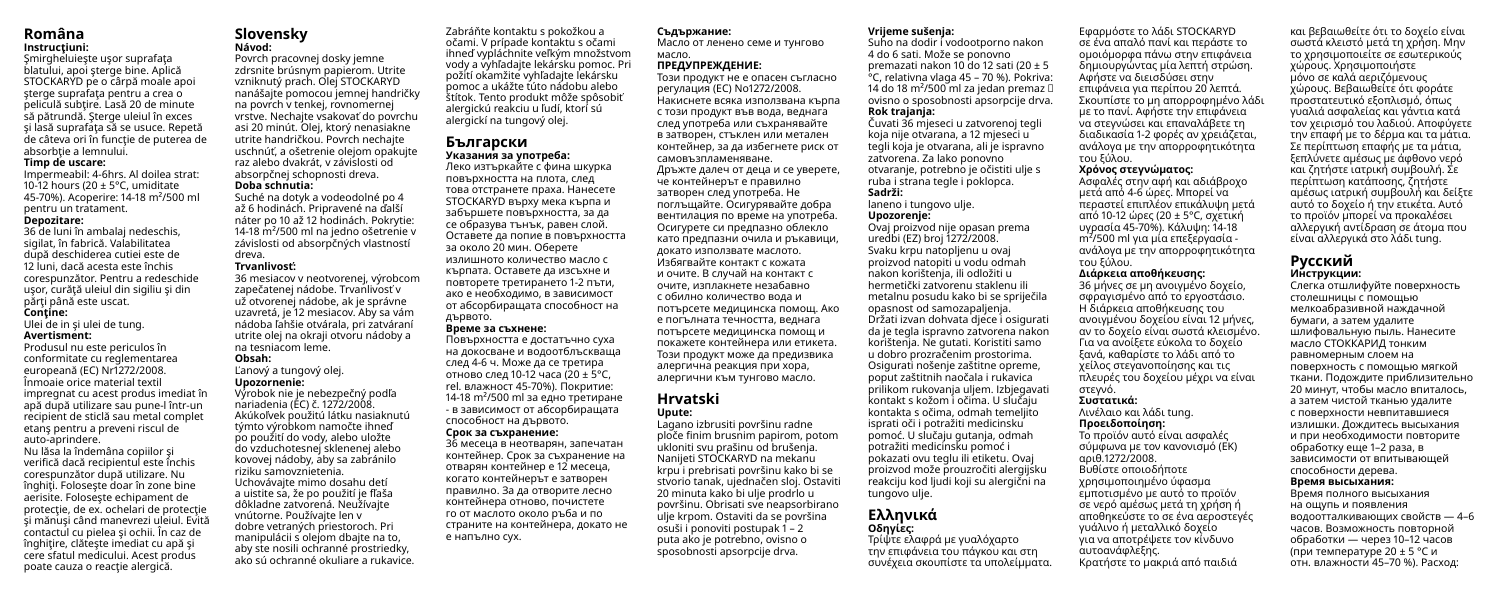### **Româna Instrucţiuni:**

Smirgheluieste usor suprafata blatului, apoi şterge bine. Aplică STOCKARYD pe o cârpă moale apoi sterge suprafața pentru a crea o peliculă subțire. Lasă 20 de minute să pătrundă. Şterge uleiul în exces si lasă suprafața să se usuce. Repetă de câteva ori în funcție de puterea de absorbtie a lemnului.

### **Timp de uscare:**

Impermeabil: 4-6hrs. Al doilea strat: 10-12 hours ( $20 + 5$ °C, umiditate 45-70%). Acoperire: 14-18 m²/500 ml pentru un tratament.

### **Depozitare:**

36 de luni în ambalaj nedeschis, sigilat, în fabrică. Valabilitatea după deschiderea cutiei este de 12 luni, dacă acesta este închis corespunzător. Pentru a redeschide usor, curăță uleiul din sigiliu și din părți până este uscat. **Conţine:**

Ulei de in şi ulei de tung.

### **Avertisment:**

Produsul nu este periculos în conformitate cu reglementarea europeană (EC) Nr1272/2008. Înmoaie orice material textil impregnat cu acest produs imediat în apă după utilizare sau pune-l într-un recipient de sticlă sau metal complet etanş pentru a preveni riscul de auto-aprindere. Nu lăsa la îndemâna copiilor şi verifică dacă recipientul este închis corespunzător după utilizare. Nu înghiti. Foloseste doar în zone bine aerisite. Foloseşte echipament de protecție, de ex. ochelari de protecție şi mănuşi când manevrezi uleiul. Evită contactul cu pielea şi ochii. În caz de înghitire, clătește imediat cu apă și cere sfatul medicului. Acest produs poate cauza o reacție alergică.

### **Slovensky Návod:**

Povrch pracovnej dosky jemne zdrsnite brúsnym papierom. Utrite vzniknutý prach. Olej STOCKARYD nanášajte pomocou jemnej handričky na povrch v tenkej, rovnomernej vrstve. Nechajte vsakovať do povrchu asi 20 minút. Olej, ktorý nenasiakne utrite handričkou. Povrch nechajte uschnúť, a ošetrenie olejom opakujte raz alebo dvakrát, v závislosti od absorpčnej schopnosti dreva. **Doba schnutia:**

Suché na dotyk a vodeodolné po 4 až 6 hodinách. Pripravené na ďalší náter po 10 až 12 hodinách. Pokrytie: 14-18 m²/500 ml na jedno ošetrenie v závislosti od absorpčných vlastností dreva. **Trvanlivosť:** 36 mesiacov v neotvorenej, výrobcom

### zapečatenej nádobe. Trvanlivosť v už otvorenej nádobe, ak je správne uzavretá, je 12 mesiacov. Aby sa vám nádoba ľahšie otvárala, pri zatváraní utrite olej na okraji otvoru nádoby a na tesniacom leme. **Obsah:**

manipulácii s olejom dbajte na to, aby ste nosili ochranné prostriedky, ako sú ochranné okuliare a rukavice.

### Ľanový a tungový olej.

**Upozornenie:** Výrobok nie je nebezpečný podľa

nariadenia (EC) č. 1272/2008. Akúkoľvek použitú látku nasiaknutú týmto výrobkom namočte ihneď po použití do vody, alebo uložte do vzduchotesnej sklenenej alebo kovovej nádoby, aby sa zabránilo riziku samovznietenia. Uchovávajte mimo dosahu detí a uistite sa, že po použití je fľaša dôkladne zatvorená. Neužívajte vnútorne. Používajte len v dobre vetraných priestoroch. Pri

Zabráňte kontaktu s pokožkou a očami. V prípade kontaktu s očami ihneď vypláchnite veľkým množstvom vody a vyhľadajte lekársku pomoc. Pri požití okamžite vyhľadajte lekársku

pomoc a ukážte túto nádobu alebo štítok. Tento produkt môže spôsobiť alergickú reakciu u ľudí, ktorí sú alergickí na tungový olej.

### **Български Указания за употреба:**

Леко изтъркайте с фина шкурка повърхността на плота, след това отстранете праха. Нанесете STOCKARYD върху мека кърпа и забършете повърхността, за да се образува тънък, равен слой. Оставете да попие в повърхността за около 20 мин. Оберете излишното количество масло с кърпата. Оставете да изсъхне и повторете третирането 1-2 пъти, ако е необходимо, в зависимост от абсорбиращата способност на дървото. **Време за съхнене:** Повърхността е достатъчно суха

на докосване и водоотблъскваща след 4-6 ч. Може да се третира отново след 10-12 часа (20 ± 5°C, rel. влажност 45-70%). Покритие: 14-18 m²/500 ml за едно третиране - в зависимост от абсорбиращата способност на дървото. **Срок за съхранение:** 36 месеца в неотварян, запечатан контейнер. Срок за съхранение на отварян контейнер е 12 месеца, когато контейнерът е затворен правилно. За да отворите лесно контейнера отново, почистете го от маслото около ръба и по страните на контейнера, докато не е напълно сух.

### **Съдържание:**

Масло от ленено семе и тунгово масло. **ПРЕДУПРЕЖДЕНИЕ:**

Този продукт не е опасен съгласно регулация (EC) No1272/2008. Накиснете всяка използвана кърпа с този продукт във вода, веднага след употреба или съхранявайте в затворен, стъклен или метален контейнер, за да избегнете риск от самовъзпламеняване. Дръжте далеч от деца и се уверете, че контейнерът е правилно затворен след употреба. Не поглъщайте. Осигурявайте добра вентилация по време на употреба. Осигурете си предпазно облекло като предпазни очила и ръкавици, докато използвате маслото. Избягвайте контакт с кожата и очите. В случай на контакт с очите, изплакнете незабавно с обилно количество вода и потърсете медицинска помощ. Ако е погълната течността, веднага потърсете медицинска помощ и покажете контейнера или етикета. Този продукт може да предизвика алергична реакция при хора, алергични към тунгово масло.

### **Hrvatski Upute:**

Lagano izbrusiti površinu radne ploče finim brusnim papirom, potom ukloniti svu prašinu od brušenja. Nanijeti STOCKARYD na mekanu krpu i prebrisati površinu kako bi se stvorio tanak, ujednačen sloj. Ostaviti 20 minuta kako bi ulje prodrlo u površinu. Obrisati sve neapsorbirano ulje krpom. Ostaviti da se površina osuši i ponoviti postupak 1 – 2 puta ako je potrebno, ovisno o sposobnosti apsorpcije drva.

### **Vrijeme sušenja:**

Suho na dodir i vodootporno nakon 4 do 6 sati. Može se ponovno premazati nakon 10 do 12 sati (20 ± 5 °C, relativna vlaga 45 – 70 %). Pokriva: 14 do 18 m<sup>2</sup>/500 ml za jedan premaz  $\Box$ ovisno o sposobnosti apsorpcije drva. **Rok trajanja:**

Čuvati 36 mjeseci u zatvorenoj tegli koja nije otvarana, a 12 mjeseci u tegli koja je otvarana, ali je ispravno zatvorena. Za lako ponovno otvaranje, potrebno je očistiti ulje s ruba i strana tegle i poklopca. **Sadrži:**

laneno i tungovo ulje.

### **Upozorenje:**

Ovaj proizvod nije opasan prema uredbi (EZ) broj 1272/2008. Svaku krpu natopljenu u ovaj proizvod natopiti u vodu odmah nakon korištenja, ili odložiti u hermetički zatvorenu staklenu ili metalnu posudu kako bi se spriječila opasnost od samozapaljenja. Držati izvan dohvata djece i osigurati da je tegla ispravno zatvorena nakon korištenja. Ne gutati. Koristiti samo u dobro prozračenim prostorima. Osigurati nošenje zaštitne opreme, poput zaštitnih naočala i rukavica prilikom rukovanja uljem. Izbjegavati kontakt s kožom i očima. U slučaju kontakta s očima, odmah temeljito isprati oči i potražiti medicinsku pomoć. U slučaju gutanja, odmah potražiti medicinsku pomoć i pokazati ovu teglu ili etiketu. Ovaj proizvod može prouzročiti alergijsku reakciju kod ljudi koji su alergični na tungovo ulje.

### **Ελληνικά Οδηγίες:**

Τρίψτε ελαφρά με γυαλόχαρτο την επιφάνεια του πάγκου και στη συνέχεια σκουπίστε τα υπολείμματα.

Εφαρμόστε το λάδι STOCKARYD σε ένα απαλό πανί και περάστε το ομοιόμορφα πάνω στην επιφάνεια δημιουργώντας μία λεπτή στρώση. Αφήστε να διεισδύσει στην επιφάνεια για περίπου 20 λεπτά. Σκουπίστε το μη απορροφημένο λάδι με το πανί. Αφήστε την επιφάνεια να στεγνώσει και επαναλάβετε τη διαδικασία 1-2 φορές αν χρειάζεται, ανάλογα με την απορροφητικότητα του ξύλου.

### **Χρόνος στεγνώματος:**

Ασφαλές στην αφή και αδιάβροχο μετά από 4-6 ώρες. Μπορεί να περαστεί επιπλέον επικάλυψη μετά από 10-12 ώρες (20 ± 5°C, σχετική υγρασία 45-70%). Κάλυψη: 14-18 m²/500 ml για μία επεξεργασία ανάλογα με την απορροφητικότητα του ξύλου.

### **Διάρκεια αποθήκευσης:**

36 μήνες σε μη ανοιγμένο δοχείο, σφραγισμένο από το εργοστάσιο. Η διάρκεια αποθήκευσης του ανοιγμένου δοχείου είναι 12 μήνες, αν το δοχείο είναι σωστά κλεισμένο. Για να ανοίξετε εύκολα το δοχείο ξανά, καθαρίστε το λάδι από το χείλος στεγανοποίησης και τις πλευρές του δοχείου μέχρι να είναι στεγνό.

### **Συστατικά:** Λινέλαιο και λάδι tung.

### **Προειδοποίηση:**

Το προϊόν αυτό είναι ασφαλές σύμφωνα με τον κανονισμό (ΕΚ) αριθ.1272/2008. Βυθίστε οποιοδήποτε χρησιμοποιημένο ύφασμα εμποτισμένο με αυτό το προϊόν σε νερό αμέσως μετά τη χρήση ή αποθηκεύστε το σε ένα αεροστεγές γυάλινο ή μεταλλικό δοχείο για να αποτρέψετε τον κίνδυνο αυτοανάφλεξης. Κρατήστε το μακριά από παιδιά

και βεβαιωθείτε ότι το δοχείο είναι σωστά κλειστό μετά τη χρήση. Μην το χρησιμοποιείτε σε εσωτερικούς χώρους. Χρησιμοποιήστε μόνο σε καλά αεριζόμενους χώρους. Βεβαιωθείτε ότι φοράτε προστατευτικό εξοπλισμό, όπως γυαλιά ασφαλείας και γάντια κατά τον χειρισμό του λαδιού. Αποφύγετε την επαφή με το δέρμα και τα μάτια. Σε περίπτωση επαφής με τα μάτια, ξεπλύνετε αμέσως με άφθονο νερό και ζητήστε ιατρική συμβουλή. Σε περίπτωση κατάποσης, ζητήστε αμέσως ιατρική συμβουλή και δείξτε αυτό το δοχείο ή την ετικέτα. Αυτό το προϊόν μπορεί να προκαλέσει αλλεργική αντίδραση σε άτομα που είναι αλλεργικά στο λάδι tung.

### **Русский Инструкции:**

Слегка отшлифуйте поверхность столешницы с помощью мелкоабразивной наждачной бумаги, а затем удалите шлифовальную пыль. Нанесите масло СТОККАРИД тонким равномерным слоем на поверхность с помощью мягкой ткани. Подождите приблизительно 20 минут, чтобы масло впиталось, а затем чистой тканью удалите с поверхности невпитавшиеся излишки. Дождитесь высыхания и при необходимости повторите обработку еще 1–2 раза, в зависимости от впитывающей способности дерева.

### **Время высыхания:**

Время полного высыхания на ощупь и появления водоотталкивающих свойств — 4–6 часов. Возможность повторной обработки — через 10–12 часов (при температуре 20 ± 5 °C и отн. влажности 45–70 %). Расход: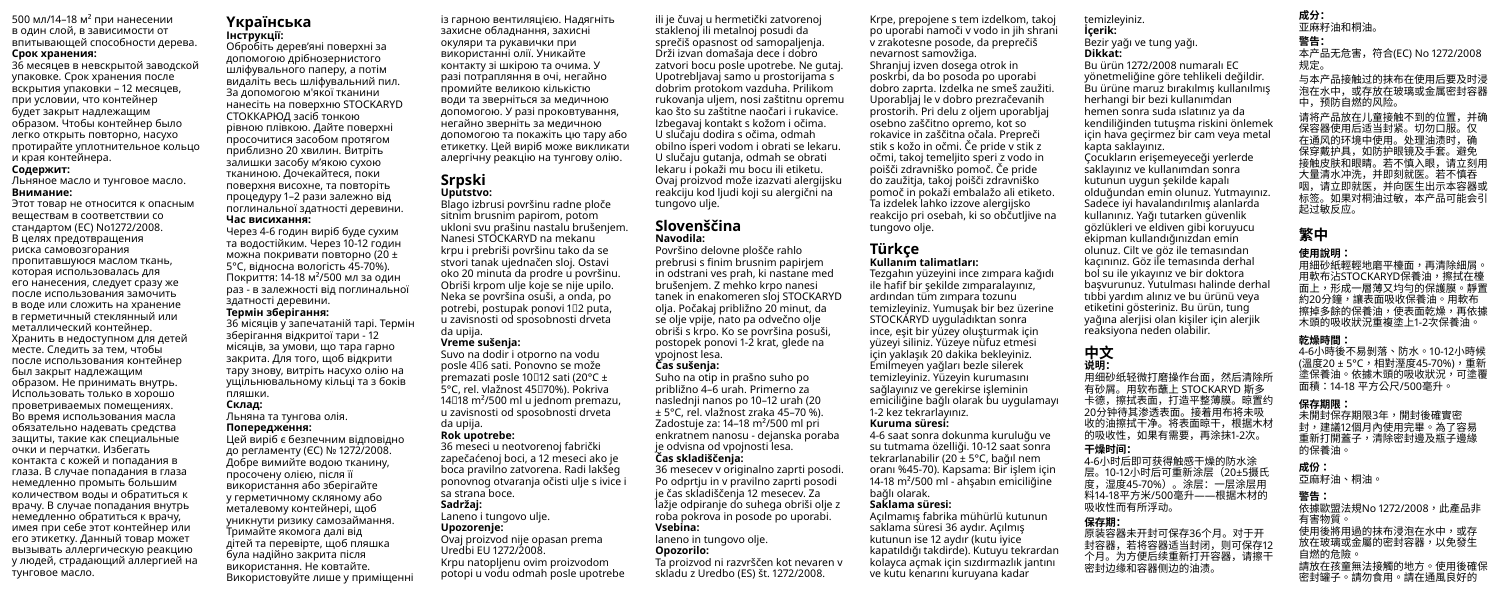500 мл/14–18 м² при нанесении в один слой, в зависимости от впитывающей способности дерева.

### **Срок хранения:**

36 месяцев в невскрытой заводской упаковке. Срок хранения после вскрытия упаковки – 12 месяцев, при условии, что контейнер будет закрыт надлежащим образом. Чтобы контейнер было легко открыть повторно, насухо протирайте уплотнительное кольцо и края контейнера.

### **Содержит:**

Льняное масло и тунговое масло.

### **Внимание:**

Этот товар не относится к опасным веществам в соответствии со стандартом (EC) No1272/2008. В целях предотвращения риска самовозгорания пропитавшуюся маслом ткань, которая использовалась для его нанесения, следует сразу же после использования замочить в воде или сложить на хранение в герметичный стеклянный или металлический контейнер. Хранить в недоступном для детей месте. Следить за тем, чтобы после использования контейнер был закрыт надлежащим образом. Не принимать внутрь. Использовать только в хорошо проветриваемых помещениях. Во время использования масла обязательно надевать средства защиты, такие как специальные очки и перчатки. Избегать контакта с кожей и попадания в глаза. В случае попадания в глаза немедленно промыть большим количеством воды и обратиться к врачу. В случае попадания внутрь немедленно обратиться к врачу, имея при себе этот контейнер или его этикетку. Данный товар может вызывать аллергическую реакцию у людей, страдающий аллергией на тунговое масло.

### **Yкраїнська Інструкції:**

Обробіть дерев'яні поверхні за допомогою дрібнозернистого шліфувального паперу, а потім видаліть весь шліфувальний пил. За допомогою м'якої тканини нанесіть на поверхню STOCKARYD СТОККАРЮД засіб тонкою рівною плівкою. Дайте поверхні просочитися засобом протягом приблизно 20 хвилин. Витріть залишки засобу м'якою сухою тканиною. Дочекайтеся, поки поверхня висохне, та повторіть процедуру 1–2 рази залежно від поглинальної здатності деревини. **Час висихання:**

Через 4-6 годин виріб буде сухим та водостійким. Через 10-12 годин можна покривати повторно (20 ± 5°C, відносна вологість 45-70%). Покриття: 14-18 м²/500 мл за один раз - в залежності від поглинальної здатності деревини. **Термін зберігання:** 36 місяців у запечатаній тарі. Термін

зберігання відкритої тари - 12 місяців, за умови, що тара гарно закрита. Для того, щоб відкрити тару знову, витріть насухо олію на ущільнювальному кільці та з боків пляшки.

### **Склад:**

Льняна та тунгова олія. **Попередження:**

Цей виріб є безпечним відповідно до регламенту (ЄС) № 1272/2008. Добре вимийте водою тканину, просочену олією, після її використання або зберігайте у герметичному скляному або металевому контейнері, щоб уникнути ризику самозаймання. Тримайте якомога далі від дітей та перевірте, щоб пляшка була надійно закрита після використання. Не ковтайте. Використовуйте лише у приміщенні

із гарною вентиляцією. Надягніть захисне обладнання, захисні окуляри та рукавички при використанні олії. Уникайте контакту зі шкірою та очима. У разі потрапляння в очі, негайно промийте великою кількістю води та зверніться за медичною допомогою. У разі проковтування, негайно зверніть за медичною допомогою та покажіть цю тару або етикетку. Цей виріб може викликати алергічну реакцію на тунгову олію.

### **Srpski Uputstvo:**

Blago izbrusi površinu radne ploče sitnim brusnim papirom, potom ukloni svu prašinu nastalu brušenjem. Nanesi STOCKARYD na mekanu krpu i prebriši površinu tako da se stvori tanak ujednačen sloj. Ostavi oko 20 minuta da prodre u površinu. Obriši krpom ulje koje se nije upilo. Neka se površina osuši, a onda, po potrebi, postupak ponovi 1‒2 puta, u zavisnosti od sposobnosti drveta da upija. **Vreme sušenja:**

Suvo na dodir i otporno na vodu posle 4‒6 sati. Ponovno se može premazati posle 10 $\Box$ 12 sati (20 $\degree$ C + 5°C, rel. vlažnost 45070%). Pokriva 14 $118$  m<sup>2</sup>/500 ml u jednom premazu. u zavisnosti od sposobnosti drveta da upija.

### **Rok upotrebe:**

36 meseci u neotvorenoj fabrički zapečaćenoj boci, a 12 meseci ako je boca pravilno zatvorena. Radi lakšeg ponovnog otvaranja očisti ulje s ivice i sa strana boce. **Sadržaj:** Laneno i tungovo ulje.

# **Upozorenje:**

Ovaj proizvod nije opasan prema Uredbi EU 1272/2008.

Krpu natopljenu ovim proizvodom potopi u vodu odmah posle upotrebe

ili je čuvaj u hermetički zatvorenoj staklenoj ili metalnoj posudi da sprečiš opasnost od samopaljenja. Drži izvan domašaja dece i dobro zatvori bocu posle upotrebe. Ne gutaj. Upotrebljavaj samo u prostorijama s dobrim protokom vazduha. Prilikom rukovanja uljem, nosi zaštitnu opremu kao što su zaštitne naočari i rukavice. Izbegavaj kontakt s kožom i očima. U slučaju dodira s očima, odmah obilno isperi vodom i obrati se lekaru. U slučaju gutanja, odmah se obrati lekaru i pokaži mu bocu ili etiketu. Ovaj proizvod može izazvati alergijsku reakciju kod ljudi koji su alergični na tungovo ulje.

### **Slovenščina Navodila:**

Površino delovne plošče rahlo prebrusi s finim brusnim papirjem in odstrani ves prah, ki nastane med brušenjem. Z mehko krpo nanesi tanek in enakomeren sloj STOCKARYD olja. Počakaj približno 20 minut, da se olje vpije, nato pa odvečno olje obriši s krpo. Ko se površina posuši, postopek ponovi 1-2 krat, glede na vpojnost lesa.

### **Čas sušenja:**

Suho na otip in prašno suho po približno 4–6 urah. Primerno za naslednji nanos po 10–12 urah (20 ± 5°C, rel. vlažnost zraka 45–70 %). Zadostuje za: 14–18 m²/500 ml pri enkratnem nanosu - dejanska poraba je odvisna od vpojnosti lesa. **Čas skladiščenja:**

### 36 mesecev v originalno zaprti posodi. Po odprtju in v pravilno zaprti posodi

laneno in tungovo olje. **Opozorilo:**

je čas skladiščenja 12 mesecev. Za lažje odpiranje do suhega obriši olje z roba pokrova in posode po uporabi. **Vsebina:**

Ta proizvod ni razvrščen kot nevaren v skladu z Uredbo (ES) št. 1272/2008.

Krpe, prepojene s tem izdelkom, takoj po uporabi namoči v vodo in jih shrani v zrakotesne posode, da preprečiš nevarnost samovžiga. Shranjuj izven dosega otrok in poskrbi, da bo posoda po uporabi dobro zaprta. Izdelka ne smeš zaužiti. Uporabljaj le v dobro prezračevanih prostorih. Pri delu z oljem uporabljaj osebno zaščitno opremo, kot so rokavice in zaščitna očala. Prepreči stik s kožo in očmi. Če pride v stik z očmi, takoj temeljito speri z vodo in poišči zdravniško pomoč. Če pride do zaužitja, takoj poišči zdravniško pomoč in pokaži embalažo ali etiketo. Ta izdelek lahko izzove alergijsko reakcijo pri osebah, ki so občutljive na tungovo olje.

### **Türkçe Kullanım talimatları:**

Tezgahın yüzeyini ince zımpara kağıdı ile hafif bir şekilde zımparalayınız, ardından tüm zımpara tozunu temizleyiniz. Yumuşak bir bez üzerine STOCKARYD uyguladıktan sonra ince, eşit bir yüzey oluşturmak için yüzeyi siliniz. Yüzeye nüfuz etmesi için yaklaşık 20 dakika bekleyiniz. Emilmeyen yağları bezle silerek temizleyiniz. Yüzeyin kurumasını sağlayınız ve gerekirse işleminin emiciliğine bağlı olarak bu uygulamayı 1-2 kez tekrarlayınız.

### **Kuruma süresi:**

4-6 saat sonra dokunma kuruluğu ve su tutmama özelliği. 10-12 saat sonra tekrarlanabilir (20 ± 5°C, bağıl nem oranı %45-70). Kapsama: Bir işlem için 14-18 m²/500 ml - ahşabın emiciliğine bağlı olarak.

### **Saklama süresi:**

Açılmamış fabrika mühürlü kutunun saklama süresi 36 aydır. Açılmış kutunun ise 12 aydır (kutu iyice kapatıldığı takdirde). Kutuyu tekrardan kolayca açmak için sızdırmazlık jantını ve kutu kenarını kuruyana kadar

**警告:**

### **Dikkat:** Bu ürün 1272/2008 numaralı EC

temizleyiniz. **İçerik:** Bezir yağı ve tung yağı.

yönetmeliğine göre tehlikeli değildir. Bu ürüne maruz bırakılmış kullanılmış herhangi bir bezi kullanımdan hemen sonra suda ıslatınız ya da kendiliğinden tutuşma riskini önlemek için hava geçirmez bir cam veya metal kapta saklayınız. Çocukların erişemeyeceği yerlerde saklayınız ve kullanımdan sonra kutunun uygun şekilde kapalı olduğundan emin olunuz. Yutmayınız. Sadece iyi havalandırılmış alanlarda kullanınız. Yağı tutarken güvenlik gözlükleri ve eldiven gibi koruyucu ekipman kullandığınızdan emin olunuz. Cilt ve göz ile temasından kaçınınız. Göz ile temasında derhal bol su ile yıkayınız ve bir doktora başvurunuz. Yutulması halinde derhal tıbbi yardım alınız ve bu ürünü veya etiketini gösteriniz. Bu ürün, tung

# yağına alerjisi olan kişiler için alerjik reaksiyona neden olabilir.

**中文 说明:** 用细砂纸轻微打磨操作台面,然后清除所 有砂屑。用软布蘸上 STOCKARYD 斯多 卡德,擦拭表面,打造平整薄膜。晾置约 20分钟待其渗透表面。接着用布将未吸 收的油擦拭干净。将表面晾干,根据木材 的吸收性,如果有需要,再涂抹1-2次。 **干燥时间:**

4-6小时后即可获得触感干燥的防水涂 层。10-12小时后可重新涂层(20±5摄氏 度,湿度45-70%)。涂层:一层涂层用 料14-18平方米/500毫升——根据木材的 吸收性而有所浮动。

### **保存期:**

原装容器未开封可保存36个月。对于开 封容器,若将容器适当封闭,则可保存12 个月。为方便后续重新打开容器,请擦干 密封边缘和容器侧边的油渍。

**成分:** 亚麻籽油和桐油

### 本产品无危害,符合(EC) No 1272/2008 规定。

与本产品接触过的抹布在使用后要及时浸 海在水中,或存放在玻璃或金属密封容器 中,预防自燃的风险。 请将产品放在儿童接触不到的位置,并确 保容器使用后适当封紧。切勿口服。仅 在通风的环境中使用。处理油渍时,确

保穿戴护具,如防护眼镜及手套。避免 接触皮肤和眼睛。若不慎入眼,请立刻用 大量清水冲洗,并即刻就医。若不慎吞 咽,请立即就医,并向医生出示本容器或 标签。如果对桐油过敏,本产品可能会引 起过敏反应。

# **繁中**

### **使用說明:**

用細砂紙輕輕地磨平檯面,再清除細屑。 用軟布沾STOCKARYD保養油,擦拭在檯 面上,形成一層薄又均勻的保護膜。靜置 約20分鐘,讓表面吸收保養油。用軟布 擦掉多餘的保養油,使表面乾燥,再依據 木頭的吸收狀況重複塗上1-2次保養油。

### **乾燥時間:**

4-6小時後不易剝落、防水。10-12小時候 (溫度20 ± 5°C,相對溼度45-70%),重新 塗保養油。依據木頭的吸收狀況,可塗覆 面積:14-18 平方公尺/500毫升。

**保存期限:** 未開封保存期限3年,開封後確實密 封,建議12個月內使用完畢。為了容易 重新打開蓋子,清除密封邊及瓶子邊緣 的保養油。

### **成份:**

亞麻籽油、桐油。

### **警告:**

依據歐盟法規No 1272/2008,此產品非 有害物質。 使用後將用過的抹布浸泡在水中,或存 放在玻璃或金屬的密封容器,以免發生 自燃的危險。 請放在孩童無法接觸的地方。使用後確保 密封罐子。請勿食用。請在通風良好的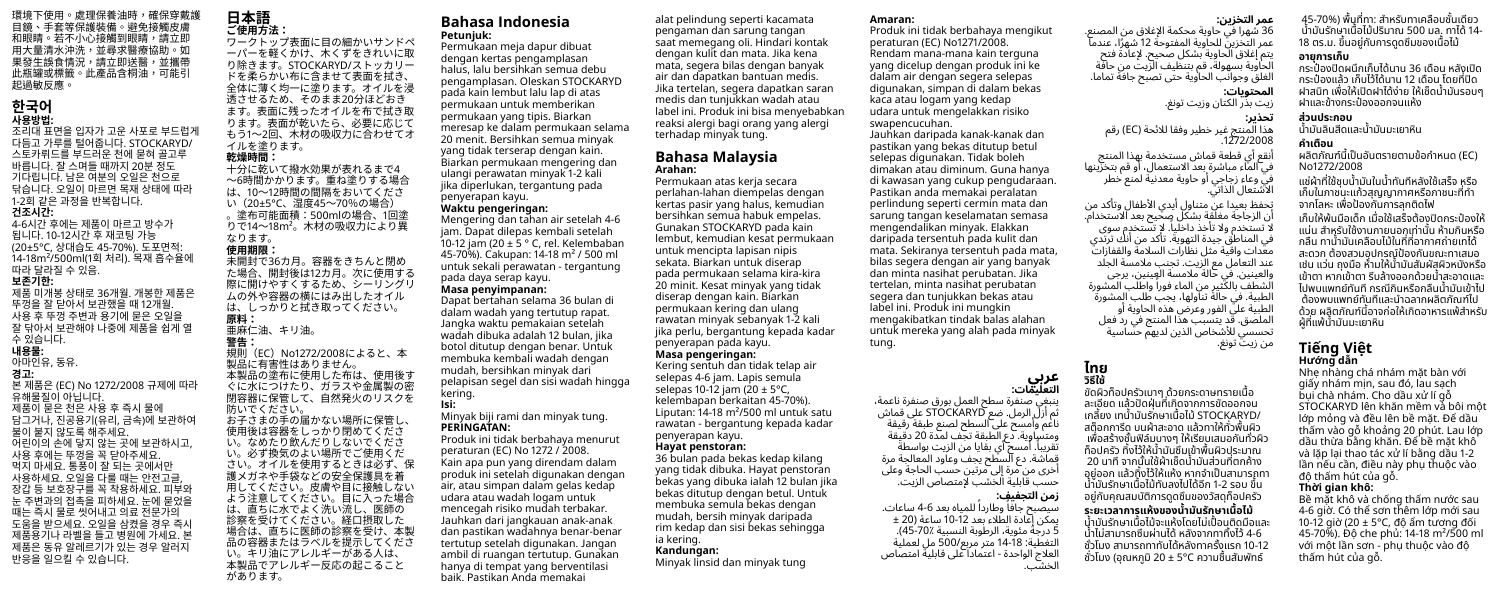環境下使用。處理保養油時,確保穿戴護 目鏡、手套等保護裝備。避免接觸皮膚 和眼睛。若不小心接觸到眼睛,請立即 用大量清水沖洗,並尋求醫療協助。如 果發生誤食情況,請立即送醫,並攜帶 此瓶罐或標籤。此產品含桐油,可能引 起過敏反應。

# **한국어 사용방법:**

조리대 표면을 입자가 고운 사포로 부드럽게 다듬고 가루를 털어줍니다. STOCKARYD/ 스토카뤼드를 부드러운 천에 묻혀 골고루 바릅니다. 잘 스며들 때까지 20분 정도 기다립니다. 남은 여분의 오일은 천으로 닦습니다. 오일이 마르면 목재 상태에 따라 1-2회 같은 과정을 반복합니다.

### **건조시간:**

4-6시간 후에는 제품이 마르고 방수가 됩니다. 10-12시간 후 재코팅 가능 (20±5°C, 상대습도 45-70%). 도포면적: 14-18m²/500ml(1회 처리). 목재 흡수율에 따라 달라질 수 있음.

### **보존기한:**

제품 미개봉 상태로 36개월. 개봉한 제품은 뚜껑을 잘 닫아서 보관했을 때 12개월. 사용 후 뚜껑 주변과 용기에 묻은 오일을 잘 닦아서 보관해야 나중에 제품을 쉽게 열 수 있습니다. **내용물:** 아마인유, 동유. **경고:** 본 제품은 (EC) No 1272/2008 규제에 따라 유해물질이 아닙니다. 제품이 묻은 천은 사용 후 즉시 물에 담그거나, 진공용기(유리, 금속)에 보관하여 불이 붙지 않도록 해주세요. 어린이의 손에 닿지 않는 곳에 보관하시고, 사용 후에는 뚜껑을 꼭 닫아주세요. 먹지 마세요. 통풍이 잘 되는 곳에서만 사용하세요. 오일을 다룰 때는 안전고글, 장갑 등 보호장구를 꼭 착용하세요. 피부와

눈 주변과의 접촉을 피하세요. 눈에 묻었을 때는 즉시 물로 씻어내고 의료 전문가의 도움을 받으세요. 오일을 삼켰을 경우 즉시 제품용기나 라벨을 들고 병원에 가세요. 본 제품은 동유 알레르기가 있는 경우 알러지 반응을 일으킬 수 있습니다.

### **日本語 ご使用方法:**

ワークトップ表面に目の細かいサンドペ ーパーを軽くかけ、木くずをきれいに取 り除きます。STOCKARYD/ストッカリー ドを柔らかい布に含ませて表面を拭き、 全体に薄く均一に塗ります。オイルを浸 透させるため、そのまま20分ほどおき ます。表面に残ったオイルを布で拭き取 ります。表面が乾いたら、必要に応じて もう1~2回、木材の吸収力に合わせてオ イルを塗ります。 **乾燥時間:**

十分に乾いて撥水効果が表れるまで4 ~6時間かかります。重ね塗りする場合 は、10~12時間の間隔をおいてくださ い(20±5°C、湿度45~70%の場合) 。塗布可能面積:500mlの場合、1回塗 りで14~18m²。木材の吸収力により異 なります。<br>伸田期限

があります。

**使用期限:**<br>未開封で36カ月。容器をきちんと閉め<br>-た場合、開封後は12カ月。次に使用する 際に開けやすくするため、シーリングリ ムの外や容器の横にはみ出したオイル は、しっかりと拭き取ってください。 **原料:** 亜麻仁油、キリ油。 **警告:** 規則 (EC) No1272/2008によると、本 製品に有害性はありません。 本製品の塗布に使用した布は、使用後す ぐに水につけたり、ガラスや金属製の密 閉容器に保管して、自然発火のリスクを 防いでください。 お子さまの手の届かない場所に保管し、 使用後は容器をしっかり閉めてくださ

い。なめたり飲んだりしないでくださ い。必ず換気のよい場所でご使用くだ さい。オイルを使用するときは必ず、保 護メガネや手袋などの安全保護具を着 用してください。皮膚や目に接触しない よう注意してください。目に入った場合 は、直ちに水でよく洗い流し、医師の 診察を受けてください。経口摂取した 場合は、直ちに医師の診察を受け、本製 品の容器またはラベルを提示してくださ い。キリ油にアレルギーがある人は、 本製品でアレルギー反応の起こること

### **Bahasa Indonesia Petunjuk:**

Permukaan meja dapur dibuat dengan kertas pengamplasan halus, lalu bersihkan semua debu pengamplasan. Oleskan STOCKARYD pada kain lembut lalu lap di atas permukaan untuk memberikan permukaan yang tipis. Biarkan meresap ke dalam permukaan selama 20 menit. Bersihkan semua minyak yang tidak terserap dengan kain. Biarkan permukaan mengering dan ulangi perawatan minyak 1-2 kali jika diperlukan, tergantung pada penyerapan kayu.

### **Waktu pengeringan:**

Mengering dan tahan air setelah 4-6 jam. Dapat dilepas kembali setelah 10-12 jam (20 ± 5 ° C, rel. Kelembaban 45-70%). Cakupan: 14-18 m² / 500 ml untuk sekali perawatan - tergantung pada daya serap kayu. **Masa penyimpanan:** Dapat bertahan selama 36 bulan di dalam wadah yang tertutup rapat.

Jangka waktu pemakaian setelah wadah dibuka adalah 12 bulan, jika botol ditutup dengan benar. Untuk membuka kembali wadah dengan mudah, bersihkan minyak dari pelapisan segel dan sisi wadah hingga

### **Isi:** Minyak biji rami dan minyak tung. **PERINGATAN:**

kering.

Produk ini tidak berbahaya menurut peraturan (EC) No 1272 / 2008. Kain apa pun yang direndam dalam produk ini setelah digunakan dengan air, atau simpan dalam gelas kedap udara atau wadah logam untuk mencegah risiko mudah terbakar. Jauhkan dari jangkauan anak-anak dan pastikan wadahnya benar-benar tertutup setelah digunakan. Jangan ambil di ruangan tertutup. Gunakan hanya di tempat yang berventilasi baik. Pastikan Anda memakai

### **Amaran:**

alat pelindung seperti kacamata pengaman dan sarung tangan

dengan kulit dan mata. Jika kena mata, segera bilas dengan banyak air dan dapatkan bantuan medis.

medis dan tunjukkan wadah atau

terhadap minyak tung. **Bahasa Malaysia Arahan:**

penyerapan kayu. **Hayat penstoran:** 36 bulan pada bekas kedap kilang yang tidak dibuka. Hayat penstoran bekas yang dibuka ialah 12 bulan jika bekas ditutup dengan betul. Untuk membuka semula bekas dengan mudah, bersih minyak daripada rim kedap dan sisi bekas sehingga

ia kering. **Kandungan:**

Minyak linsid dan minyak tung

Permukaan atas kerja secara perlahan-lahan diempelas dengan kertas pasir yang halus, kemudian bersihkan semua habuk empelas. Gunakan STOCKARYD pada kain lembut, kemudian kesat permukaan untuk mencipta lapisan nipis sekata. Biarkan untuk diserap pada permukaan selama kira-kira 20 minit. Kesat minyak yang tidak diserap dengan kain. Biarkan permukaan kering dan ulang rawatan minyak sebanyak 1-2 kali jika perlu, bergantung kepada kadar penyerapan pada kayu. **Masa pengeringan:** Kering sentuh dan tidak telap air selepas 4-6 jam. Lapis semula selepas 10-12 jam (20 ± 5°C, kelembapan berkaitan 45-70%). Liputan: 14-18 m²/500 ml untuk satu rawatan - bergantung kepada kadar

saat memegang oli. Hindari kontak Jika tertelan, segera dapatkan saran label ini. Produk ini bisa menyebabkan reaksi alergi bagi orang yang alergi Produk ini tidak berbahaya mengikut peraturan (EC) No1271/2008. Rendam mana-mana kain terguna yang dicelup dengan produk ini ke dalam air dengan segera selepas digunakan, simpan di dalam bekas kaca atau logam yang kedap udara untuk mengelakkan risiko swapencucuhan.

Jauhkan daripada kanak-kanak dan pastikan yang bekas ditutup betul selepas digunakan. Tidak boleh dimakan atau diminum. Guna hanya di kawasan yang cukup pengudaraan. Pastikan anda memakai peralatan perlindung seperti cermin mata dan sarung tangan keselamatan semasa mengendalikan minyak. Elakkan daripada tersentuh pada kulit dan mata. Sekiranya tersentuh pada mata, bilas segera dengan air yang banyak dan minta nasihat perubatan. Jika tertelan, minta nasihat perubatan segera dan tunjukkan bekas atau label ini. Produk ini mungkin mengakibatkan tindak balas alahan untuk mereka yang alah pada minyak tung.

 **ไทย วิิธีใช้ี ้**

ขัดผิวท็อปครัวเบาๆ ด้วยกระดาษทรายเนื้อ ละเอียด แล้วปัดฝุ่มที่่เกิดจากการขัดออกจน เกลี้้�ยง เทน้ำำ��มัันรัักษาเนื้้�อไม้้ STOCKARYD/ สต็อกการีด บนผ้าสะอาด แล้วทาให้ทั่วพื้นผิว ้ เพื่อสร้างชั้นฟิล์มบางๆ ให้เรียบเสมอกับทั่วผิว ท็อปครัว ทิงไว้ให้น้ำมันซึมเข้าพื้นผิวประมาณ ่ 20 นาที จากนั้นใช้ผ้าเช็ดน้ำนับส่วนที่ตกค้าง ้อยู่ออก แล้วทิ้งไว้ให้แห้ง หากจำเป็นสามารถทา น้ำบันรักษาเนื้อไม้ทันลงไปได้อีก 1-2 รอบ ขึ้น ื่อย่กับคุณสมบัติการดูดซึมของวัสดุท็อปครัว

سيصبح جافاً وطارداً للمياه بعد 6-4 ساعات. يمكن إعادة الطّلاء بعد 10-12 ساعة (20 + 5 درجة مئوية، الرطوبة النسبية 45-70٪(. التغطية: 18-14 متر مربع/500 مل لعملية العالج الواحدة - اعتمادا عىل قابلية امتصاص الخشب.

### **عمر التخزين:**

**المحتويات:** زيت بذر الكتان وزيت تونغ.

.1272/2008

الآشتعال الذاتي.

من زيت تونغ.

**تحذير:**

الغلق وجوانب الحاوية حتى تصبح جافة تماما.

هذا المنتج غير خطير وفقا لالئحة )EC )رقم

أنقع أي قطعة قماش مستخدمة بهذا المنتج في الماء مباشرة بعد االستعمال، أو قم بتخزينها في وعاء زجاجي أو حاوية معدنية لمنع خطر

تحفظ بعيدا عن متناول أيدي األطفال وتأكد من أن الزجاجة مغلقة بشكل صحيح بعد االستخدام. لا تستخدم ولا تأخذ داخليا. لإ تستخدم سوى في المناطق جيدة التهوية. تأكد من أنك ترتدي معدات واقية مثل نظارات السالمة والقفازات عند التعامل مع الزيت. تجنب مالمسة الجلد والعينين. في حالة مالمسة العينين، يرجى لشطف بالكَثير من الماء فوراً واطلَب المشورة الطبية. في حالة تناولها، يجب طلب المشورة الطبية عىل الفور وعرض هذه الحاوية أو الملصق. قد يتسبب هذا المنتج في رد فعل تحسسي لألشخاص الذين لديهم حساسية

 **ระยะเวลาการแห้้งของน้ำำ� มัันรัักษาเนื้้�อไม้้** น้ำบับรักษาเนื้อไม้จะแห้งโดยไม่่เปื้อมติดมือและ ่ นำไม่สามารถซึมผ่านได้ หลังจากทาทิ้งไว้ 4-6 ชั่วโมง สามารถทาทับได้หลังทาครั้งแรก 10-12 ชั่วโมง (อุณหภูมิ 20 ± 5°C ความชื้นสัมพัทธ์

36 شهرا في حاوية محكمة اإلغالق من المصنع. عمر التخزين للحاويه المفتوحه 12 شهرا، عندما يتم إغلاق الحاوية بشكل صحيح. لإعادة فتح الحاوية بسهولة، قم بتنظيف الزيت من حافة ่ 45-70%) พื้นที่ทา: สำหรับทาเคลือบชั้นเดียว ้น้ำมันรักษาเนื้อไม้ปริมาณ 500 มล. ทาได้ 14-18 ตร.ม. ขึ้นอยู่กับการดูดซึมของเนื้อไม้  **อายุุการเก็็บ**

 กระป๋๋องปิิดผนึึกเก็็บได้นาน ้ 36 เดืือน หลัังเปิิด ้ กระป๋้องแล้ว เก็บไว้ได้นาน 12 เดือน โดยที่ปิด ้ ฝาสนิท เพื่อให้เปิดฝาได้ง่าย ให้เช็ดน้ำบับรอบๆ ฝาและข้้างกระป๋๋องออกจนแห้้ง

### **ส่่วนประกอบ**

น้วนบระเเบบ<br>น้ำนับจินสีดแจะน้ำนับมะเยาหิน

### **คำำ เตืือน**

...........<br>ผลิตภัณฑ์นี้เป็นอันตรายตามข้อกำหนด (EC) No1272/2008

ู้แช่ผ้าที่ใช้ชบน้ำมันในน้ำทันทีหลังใช้เสร็จ หรือ เก็บในภาชนะแก้วสุณณากาศหรือภาชนะที่ทำ จากโลหะ เพื่อป้องกับการลุกติดไฟ เก็บให้พ้นมือเด็ก เมื่อใช้เสร็จต้องปิดกระป๋องให้ ้ แน่น สำหรับใช้งานภายนอกเท่านั้น ห้ามกินหรือ กลืืน ทาน้ำำ��มัันเคลืือบไม้้ในที่่�ที่่�อากาศถ่่ายเทได้้ สะดวก ต้องสวมอุปกรณ์ป้องกับขณะทาเสมอ ้เช่น แว่น ถุงมือ ห้ามให้น้ำมันสัมผัสผิวหนังหรือ เข้าตา หากเข้าตา รีบล้างออกด้วยน้ำสะอาดและ ไปพบแพทย์ทั์ ันทีี กรณีีกิินหรืือกลืืนน้ำำ��มัันเข้้าไป ต้้องพบแพทย์ทั์ ันทีีและนำำ�ฉลากผลิิตภััณฑ์์ไป ้ ด้วย ผลิตภัณฑ์นี้้อาจก่อให้เกิดอาหารแพ้สำหรับ ผู้้ที่่�แพ้้น้ำำ��มัันมะเยาหินิ

### **Tiếng Việt Hướng dẫn**

Nhẹ nhàng chá nhám mặt bàn với giấy nhám mịn, sau đó, lau sạch bụi chà nhám. Cho dầu xử lí gỗ STOCKARYD lên khăn mềm và bôi một lớp mỏng và đều lên bề mặt. Để dầu thấm vào gỗ khoảng 20 phút. Lau lớp dầu thừa bằng khăn. Để bề mặt khô và lặp lại thao tác xử lí bằng dầu 1-2 lần nếu cần, điều này phụ thuộc vào độ thấm hút của gỗ.

### **Thời gian khô:**

Bề mặt khô và chống thấm nước sau 4-6 giờ. Có thể sơn thêm lớn mới sau 10-12 giờ (20 ± 5°C, độ ẩm tương đối 45-70%). Độ che phủ: 14-18 m²/500 ml với một lần sơn - phụ thuộc vào độ thấm hút của gỗ.

**التعليمات: عربي** ينبغي صنفرة سطح العمل بورق صنفرة ناعمة، ثم أزل الرمل. ضع STOCKARYD عىل قماش ناعم وأمسح عىل السطح لصنع طبقة رقيقة ومتساوية. دع الطبقة تجف لمدة 20 دقيقة تقريباً. أُمسح أي بقايا من الزيت بواسطة قماشة. دع السطح يجف وعاود المعالجة مرة أخرى من مرة إىل مرتين حسب الحاجة وعىل

حسب قابلية الخشب إلمتصاص الزيت. **زمن التجفيف:**